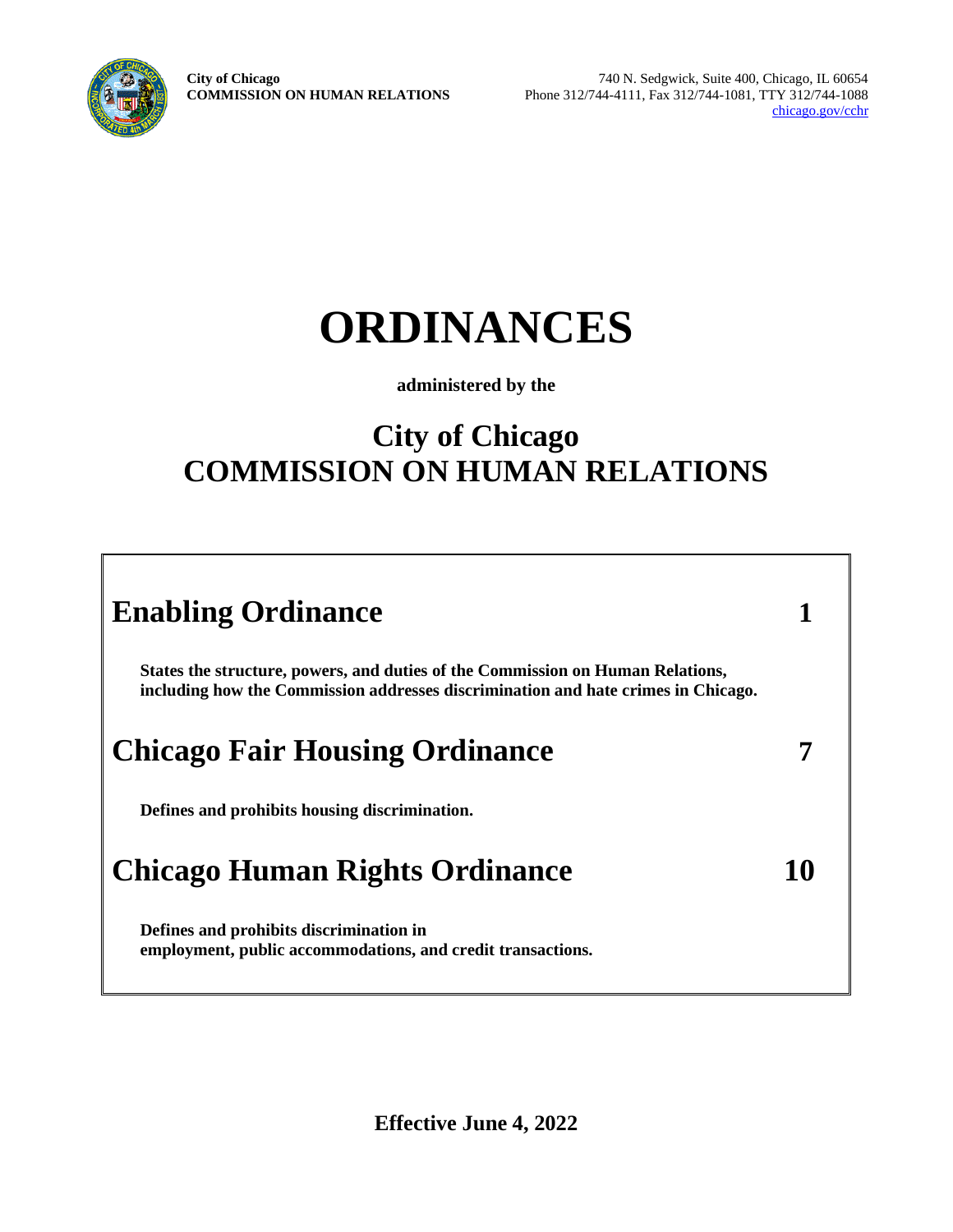**City of Chicago COMMISSION ON HUMAN RELATIONS**



740 N. Sedgwick, Suite 400, Chicago, IL 60654 Phone 312/744-4111, Fax 312/744-1081, TTY 312/744-1088 [chicago.gov/cchr](http://www.cityofchicago.org/humanrelations)

# **ORDINANCES**

#### **administered by the**

# **City of Chicago COMMISSION ON HUMAN RELATIONS**

| <b>Enabling Ordinance</b>                                                                                                                                           |  |
|---------------------------------------------------------------------------------------------------------------------------------------------------------------------|--|
| States the structure, powers, and duties of the Commission on Human Relations,<br>including how the Commission addresses discrimination and hate crimes in Chicago. |  |
| <b>Chicago Fair Housing Ordinance</b>                                                                                                                               |  |
| Defines and prohibits housing discrimination.                                                                                                                       |  |
| <b>Chicago Human Rights Ordinance</b>                                                                                                                               |  |
| Defines and prohibits discrimination in<br>employment, public accommodations, and credit transactions.                                                              |  |

**Effective June 4, 2022**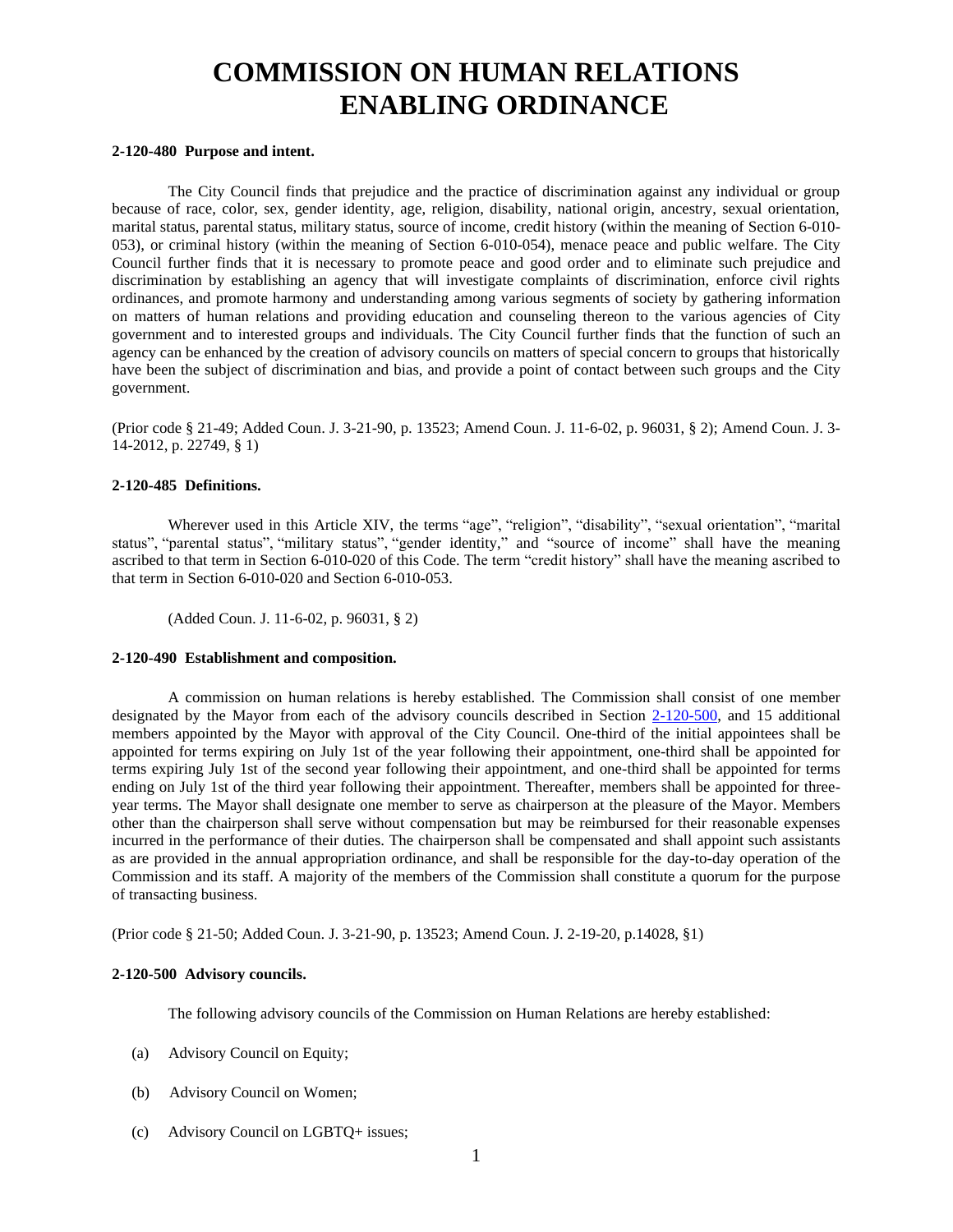## **COMMISSION ON HUMAN RELATIONS ENABLING ORDINANCE**

#### **2-120-480 Purpose and intent.**

The City Council finds that prejudice and the practice of discrimination against any individual or group because of race, color, sex, gender identity, age, religion, disability, national origin, ancestry, sexual orientation, marital status, parental status, military status, source of income, credit history (within the meaning of Section 6-010- 053), or criminal history (within the meaning of Section 6-010-054), menace peace and public welfare. The City Council further finds that it is necessary to promote peace and good order and to eliminate such prejudice and discrimination by establishing an agency that will investigate complaints of discrimination, enforce civil rights ordinances, and promote harmony and understanding among various segments of society by gathering information on matters of human relations and providing education and counseling thereon to the various agencies of City government and to interested groups and individuals. The City Council further finds that the function of such an agency can be enhanced by the creation of advisory councils on matters of special concern to groups that historically have been the subject of discrimination and bias, and provide a point of contact between such groups and the City government.

(Prior code § 21-49; Added Coun. J. 3-21-90, p. 13523; Amend Coun. J. 11-6-02, p. 96031, § 2); Amend Coun. J. 3- 14-2012, p. 22749, § 1)

#### **2-120-485 Definitions.**

Wherever used in this Article XIV, the terms "age", "religion", "disability", "sexual orientation", "marital status", "parental status", "military status", "gender identity," and "source of income" shall have the meaning ascribed to that term in Section 6-010-020 of this Code. The term "credit history" shall have the meaning ascribed to that term in Section 6-010-020 and Section 6-010-053.

(Added Coun. J. 11-6-02, p. 96031, § 2)

#### **2-120-490 Establishment and composition.**

A commission on human relations is hereby established. The Commission shall consist of one member designated by the Mayor from each of the advisory councils described in Section [2-120-500,](http://www.amlegal.com/nxt/gateway.dll?f=id$id=Municipal%20Code%20of%20Chicago%3Ar%3A1516$cid=illinois$t=document-frame.htm$an=JD_2-120-500$3.0#JD_2-120-500) and 15 additional members appointed by the Mayor with approval of the City Council. One-third of the initial appointees shall be appointed for terms expiring on July 1st of the year following their appointment, one-third shall be appointed for terms expiring July 1st of the second year following their appointment, and one-third shall be appointed for terms ending on July 1st of the third year following their appointment. Thereafter, members shall be appointed for threeyear terms. The Mayor shall designate one member to serve as chairperson at the pleasure of the Mayor. Members other than the chairperson shall serve without compensation but may be reimbursed for their reasonable expenses incurred in the performance of their duties. The chairperson shall be compensated and shall appoint such assistants as are provided in the annual appropriation ordinance, and shall be responsible for the day-to-day operation of the Commission and its staff. A majority of the members of the Commission shall constitute a quorum for the purpose of transacting business.

(Prior code § 21-50; Added Coun. J. 3-21-90, p. 13523; Amend Coun. J. 2-19-20, p.14028, §1)

#### **2-120-500 Advisory councils.**

The following advisory councils of the Commission on Human Relations are hereby established:

- (a) Advisory Council on Equity;
- (b) Advisory Council on Women;
- (c) Advisory Council on LGBTQ+ issues;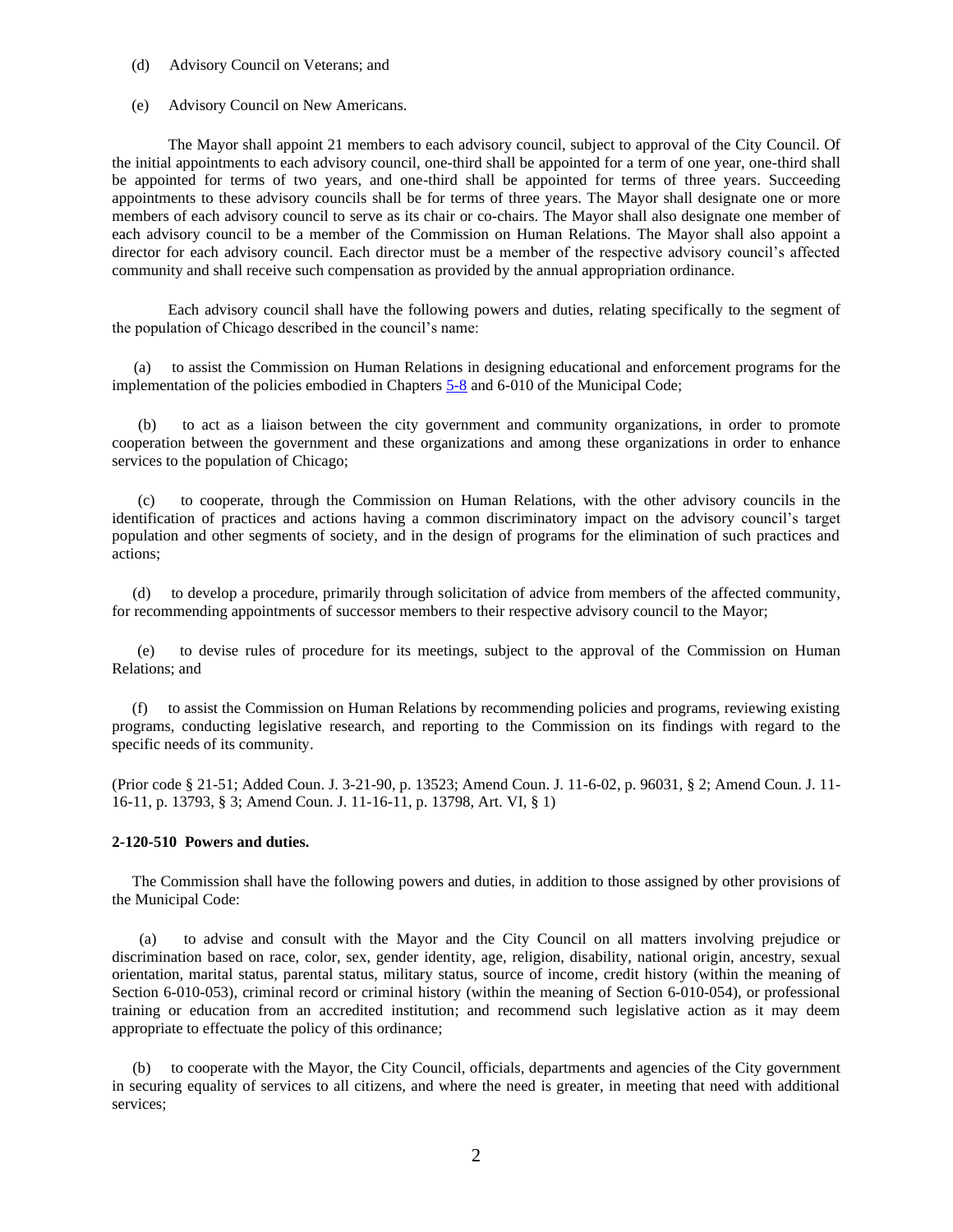#### (d) Advisory Council on Veterans; and

#### (e) Advisory Council on New Americans.

The Mayor shall appoint 21 members to each advisory council, subject to approval of the City Council. Of the initial appointments to each advisory council, one-third shall be appointed for a term of one year, one-third shall be appointed for terms of two years, and one-third shall be appointed for terms of three years. Succeeding appointments to these advisory councils shall be for terms of three years. The Mayor shall designate one or more members of each advisory council to serve as its chair or co-chairs. The Mayor shall also designate one member of each advisory council to be a member of the Commission on Human Relations. The Mayor shall also appoint a director for each advisory council. Each director must be a member of the respective advisory council's affected community and shall receive such compensation as provided by the annual appropriation ordinance.

Each advisory council shall have the following powers and duties, relating specifically to the segment of the population of Chicago described in the council's name:

 (a) to assist the Commission on Human Relations in designing educational and enforcement programs for the implementation of the policies embodied in Chapter[s 5-8](http://www.amlegal.com/nxt/gateway.dll?f=id$id=Municipal%20Code%20of%20Chicago%3Ar%3A6b32$cid=illinois$t=document-frame.htm$an=JD_Ch.5-8$3.0#JD_Ch.5-8) and 6-010 of the Municipal Code;

(b) to act as a liaison between the city government and community organizations, in order to promote cooperation between the government and these organizations and among these organizations in order to enhance services to the population of Chicago;

(c) to cooperate, through the Commission on Human Relations, with the other advisory councils in the identification of practices and actions having a common discriminatory impact on the advisory council's target population and other segments of society, and in the design of programs for the elimination of such practices and actions;

(d) to develop a procedure, primarily through solicitation of advice from members of the affected community, for recommending appointments of successor members to their respective advisory council to the Mayor;

(e) to devise rules of procedure for its meetings, subject to the approval of the Commission on Human Relations; and

(f) to assist the Commission on Human Relations by recommending policies and programs, reviewing existing programs, conducting legislative research, and reporting to the Commission on its findings with regard to the specific needs of its community.

(Prior code § 21-51; Added Coun. J. 3-21-90, p. 13523; Amend Coun. J. 11-6-02, p. 96031, § 2; Amend Coun. J. 11- 16-11, p. 13793, § 3; Amend Coun. J. 11-16-11, p. 13798, Art. VI, § 1)

#### **2-120-510 Powers and duties.**

The Commission shall have the following powers and duties, in addition to those assigned by other provisions of the Municipal Code:

(a) to advise and consult with the Mayor and the City Council on all matters involving prejudice or discrimination based on race, color, sex, gender identity, age, religion, disability, national origin, ancestry, sexual orientation, marital status, parental status, military status, source of income, credit history (within the meaning of Section 6-010-053), criminal record or criminal history (within the meaning of Section 6-010-054), or professional training or education from an accredited institution; and recommend such legislative action as it may deem appropriate to effectuate the policy of this ordinance;

(b) to cooperate with the Mayor, the City Council, officials, departments and agencies of the City government in securing equality of services to all citizens, and where the need is greater, in meeting that need with additional services;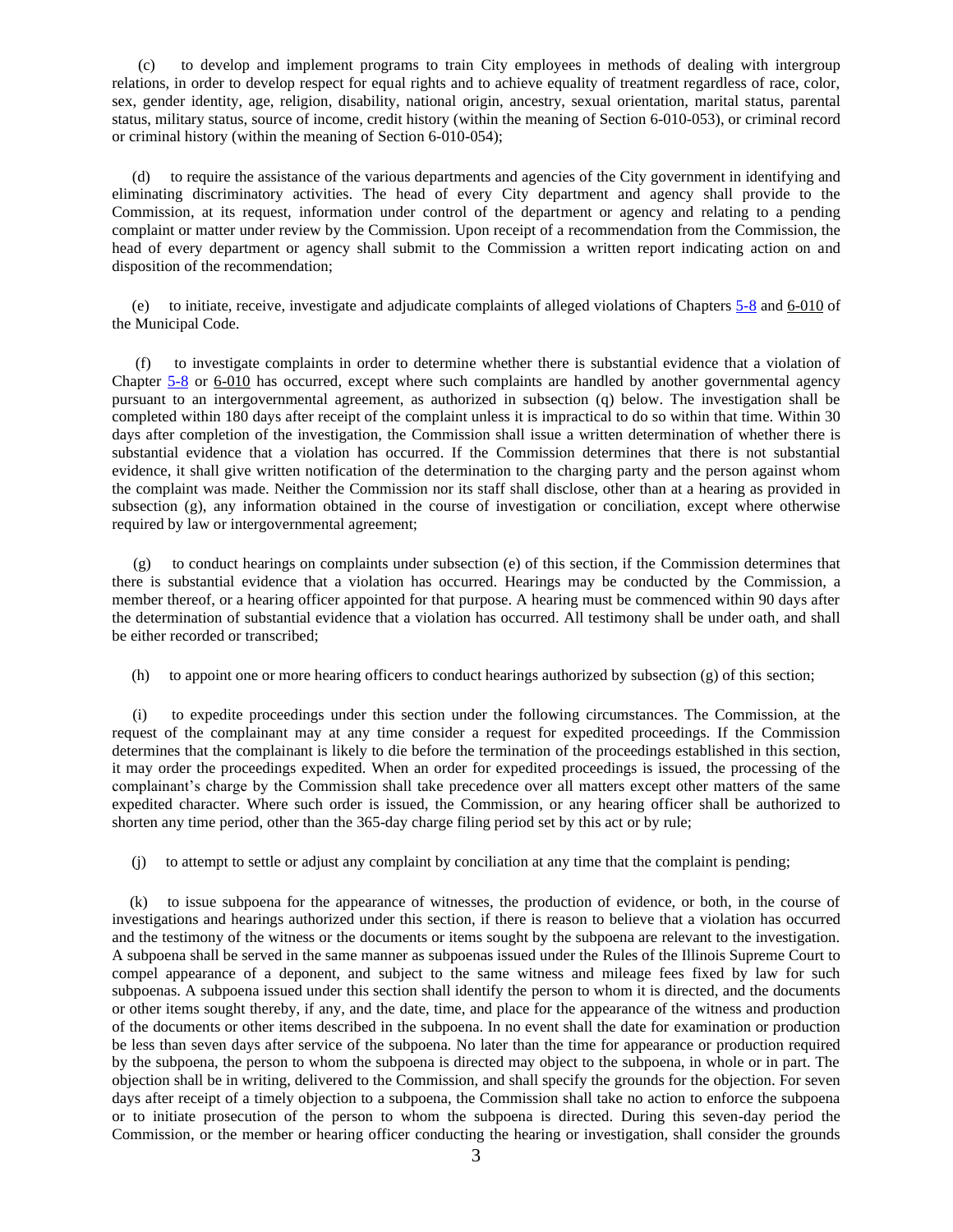(c) to develop and implement programs to train City employees in methods of dealing with intergroup relations, in order to develop respect for equal rights and to achieve equality of treatment regardless of race, color, sex, gender identity, age, religion, disability, national origin, ancestry, sexual orientation, marital status, parental status, military status, source of income, credit history (within the meaning of Section 6-010-053), or criminal record or criminal history (within the meaning of Section 6-010-054);

(d) to require the assistance of the various departments and agencies of the City government in identifying and eliminating discriminatory activities. The head of every City department and agency shall provide to the Commission, at its request, information under control of the department or agency and relating to a pending complaint or matter under review by the Commission. Upon receipt of a recommendation from the Commission, the head of every department or agency shall submit to the Commission a written report indicating action on and disposition of the recommendation;

(e) to initiate, receive, investigate and adjudicate complaints of alleged violations of Chapters [5-8](http://www.amlegal.com/nxt/gateway.dll?f=id$id=Municipal%20Code%20of%20Chicago%3Ar%3A6b32$cid=illinois$t=document-frame.htm$an=JD_Ch.5-8$3.0#JD_Ch.5-8) and 6-010 of the Municipal Code.

(f) to investigate complaints in order to determine whether there is substantial evidence that a violation of Chapter [5-8](http://www.amlegal.com/nxt/gateway.dll?f=id$id=Municipal%20Code%20of%20Chicago%3Ar%3A6b32$cid=illinois$t=document-frame.htm$an=JD_Ch.5-8$3.0#JD_Ch.5-8) or 6-010 has occurred, except where such complaints are handled by another governmental agency pursuant to an intergovernmental agreement, as authorized in subsection (q) below. The investigation shall be completed within 180 days after receipt of the complaint unless it is impractical to do so within that time. Within 30 days after completion of the investigation, the Commission shall issue a written determination of whether there is substantial evidence that a violation has occurred. If the Commission determines that there is not substantial evidence, it shall give written notification of the determination to the charging party and the person against whom the complaint was made. Neither the Commission nor its staff shall disclose, other than at a hearing as provided in subsection (g), any information obtained in the course of investigation or conciliation, except where otherwise required by law or intergovernmental agreement;

(g) to conduct hearings on complaints under subsection (e) of this section, if the Commission determines that there is substantial evidence that a violation has occurred. Hearings may be conducted by the Commission, a member thereof, or a hearing officer appointed for that purpose. A hearing must be commenced within 90 days after the determination of substantial evidence that a violation has occurred. All testimony shall be under oath, and shall be either recorded or transcribed;

(h) to appoint one or more hearing officers to conduct hearings authorized by subsection (g) of this section;

(i) to expedite proceedings under this section under the following circumstances. The Commission, at the request of the complainant may at any time consider a request for expedited proceedings. If the Commission determines that the complainant is likely to die before the termination of the proceedings established in this section, it may order the proceedings expedited. When an order for expedited proceedings is issued, the processing of the complainant's charge by the Commission shall take precedence over all matters except other matters of the same expedited character. Where such order is issued, the Commission, or any hearing officer shall be authorized to shorten any time period, other than the 365-day charge filing period set by this act or by rule;

(j) to attempt to settle or adjust any complaint by conciliation at any time that the complaint is pending;

(k) to issue subpoena for the appearance of witnesses, the production of evidence, or both, in the course of investigations and hearings authorized under this section, if there is reason to believe that a violation has occurred and the testimony of the witness or the documents or items sought by the subpoena are relevant to the investigation. A subpoena shall be served in the same manner as subpoenas issued under the Rules of the Illinois Supreme Court to compel appearance of a deponent, and subject to the same witness and mileage fees fixed by law for such subpoenas. A subpoena issued under this section shall identify the person to whom it is directed, and the documents or other items sought thereby, if any, and the date, time, and place for the appearance of the witness and production of the documents or other items described in the subpoena. In no event shall the date for examination or production be less than seven days after service of the subpoena. No later than the time for appearance or production required by the subpoena, the person to whom the subpoena is directed may object to the subpoena, in whole or in part. The objection shall be in writing, delivered to the Commission, and shall specify the grounds for the objection. For seven days after receipt of a timely objection to a subpoena, the Commission shall take no action to enforce the subpoena or to initiate prosecution of the person to whom the subpoena is directed. During this seven-day period the Commission, or the member or hearing officer conducting the hearing or investigation, shall consider the grounds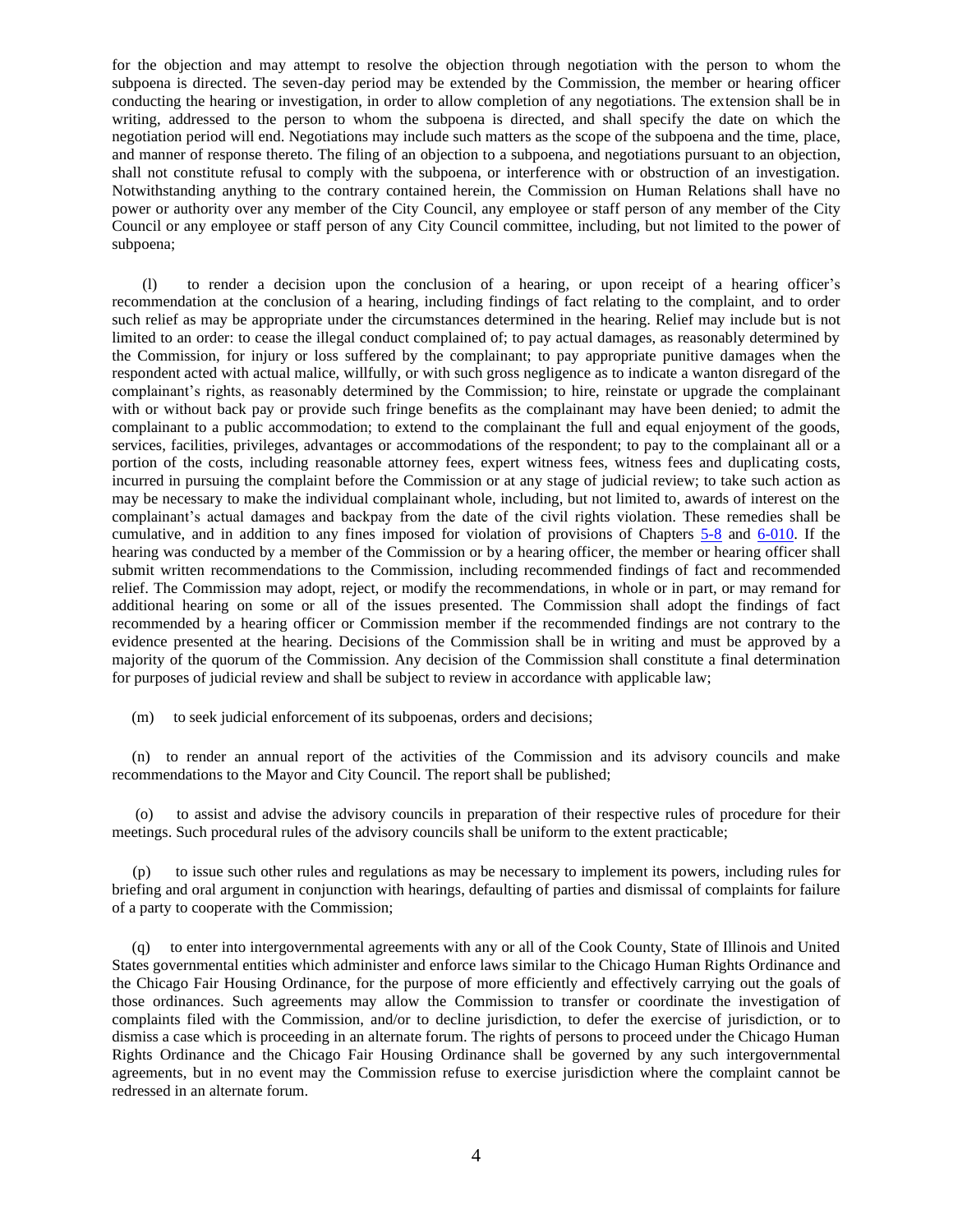for the objection and may attempt to resolve the objection through negotiation with the person to whom the subpoena is directed. The seven-day period may be extended by the Commission, the member or hearing officer conducting the hearing or investigation, in order to allow completion of any negotiations. The extension shall be in writing, addressed to the person to whom the subpoena is directed, and shall specify the date on which the negotiation period will end. Negotiations may include such matters as the scope of the subpoena and the time, place, and manner of response thereto. The filing of an objection to a subpoena, and negotiations pursuant to an objection, shall not constitute refusal to comply with the subpoena, or interference with or obstruction of an investigation. Notwithstanding anything to the contrary contained herein, the Commission on Human Relations shall have no power or authority over any member of the City Council, any employee or staff person of any member of the City Council or any employee or staff person of any City Council committee, including, but not limited to the power of subpoena;

(l) to render a decision upon the conclusion of a hearing, or upon receipt of a hearing officer's recommendation at the conclusion of a hearing, including findings of fact relating to the complaint, and to order such relief as may be appropriate under the circumstances determined in the hearing. Relief may include but is not limited to an order: to cease the illegal conduct complained of; to pay actual damages, as reasonably determined by the Commission, for injury or loss suffered by the complainant; to pay appropriate punitive damages when the respondent acted with actual malice, willfully, or with such gross negligence as to indicate a wanton disregard of the complainant's rights, as reasonably determined by the Commission; to hire, reinstate or upgrade the complainant with or without back pay or provide such fringe benefits as the complainant may have been denied; to admit the complainant to a public accommodation; to extend to the complainant the full and equal enjoyment of the goods, services, facilities, privileges, advantages or accommodations of the respondent; to pay to the complainant all or a portion of the costs, including reasonable attorney fees, expert witness fees, witness fees and duplicating costs, incurred in pursuing the complaint before the Commission or at any stage of judicial review; to take such action as may be necessary to make the individual complainant whole, including, but not limited to, awards of interest on the complainant's actual damages and backpay from the date of the civil rights violation. These remedies shall be cumulative, and in addition to any fines imposed for violation of provisions of Chapters [5-8](http://www.amlegal.com/nxt/gateway.dll?f=id$id=Municipal%20Code%20of%20Chicago%3Ar%3A6b32$cid=illinois$t=document-frame.htm$an=JD_Ch.5-8$3.0#JD_Ch.5-8) and [6-010.](http://www.amlegal.com/nxt/gateway.dll?f=id$id=Municipal%20Code%20of%20Chicago%3Ar%3A1a56$cid=illinois$t=document-frame.htm$an=JD_Ch.2-160$3.0#JD_Ch.2-160) If the hearing was conducted by a member of the Commission or by a hearing officer, the member or hearing officer shall submit written recommendations to the Commission, including recommended findings of fact and recommended relief. The Commission may adopt, reject, or modify the recommendations, in whole or in part, or may remand for additional hearing on some or all of the issues presented. The Commission shall adopt the findings of fact recommended by a hearing officer or Commission member if the recommended findings are not contrary to the evidence presented at the hearing. Decisions of the Commission shall be in writing and must be approved by a majority of the quorum of the Commission. Any decision of the Commission shall constitute a final determination for purposes of judicial review and shall be subject to review in accordance with applicable law;

(m) to seek judicial enforcement of its subpoenas, orders and decisions;

(n) to render an annual report of the activities of the Commission and its advisory councils and make recommendations to the Mayor and City Council. The report shall be published;

(o) to assist and advise the advisory councils in preparation of their respective rules of procedure for their meetings. Such procedural rules of the advisory councils shall be uniform to the extent practicable;

(p) to issue such other rules and regulations as may be necessary to implement its powers, including rules for briefing and oral argument in conjunction with hearings, defaulting of parties and dismissal of complaints for failure of a party to cooperate with the Commission;

(q) to enter into intergovernmental agreements with any or all of the Cook County, State of Illinois and United States governmental entities which administer and enforce laws similar to the Chicago Human Rights Ordinance and the Chicago Fair Housing Ordinance, for the purpose of more efficiently and effectively carrying out the goals of those ordinances. Such agreements may allow the Commission to transfer or coordinate the investigation of complaints filed with the Commission, and/or to decline jurisdiction, to defer the exercise of jurisdiction, or to dismiss a case which is proceeding in an alternate forum. The rights of persons to proceed under the Chicago Human Rights Ordinance and the Chicago Fair Housing Ordinance shall be governed by any such intergovernmental agreements, but in no event may the Commission refuse to exercise jurisdiction where the complaint cannot be redressed in an alternate forum.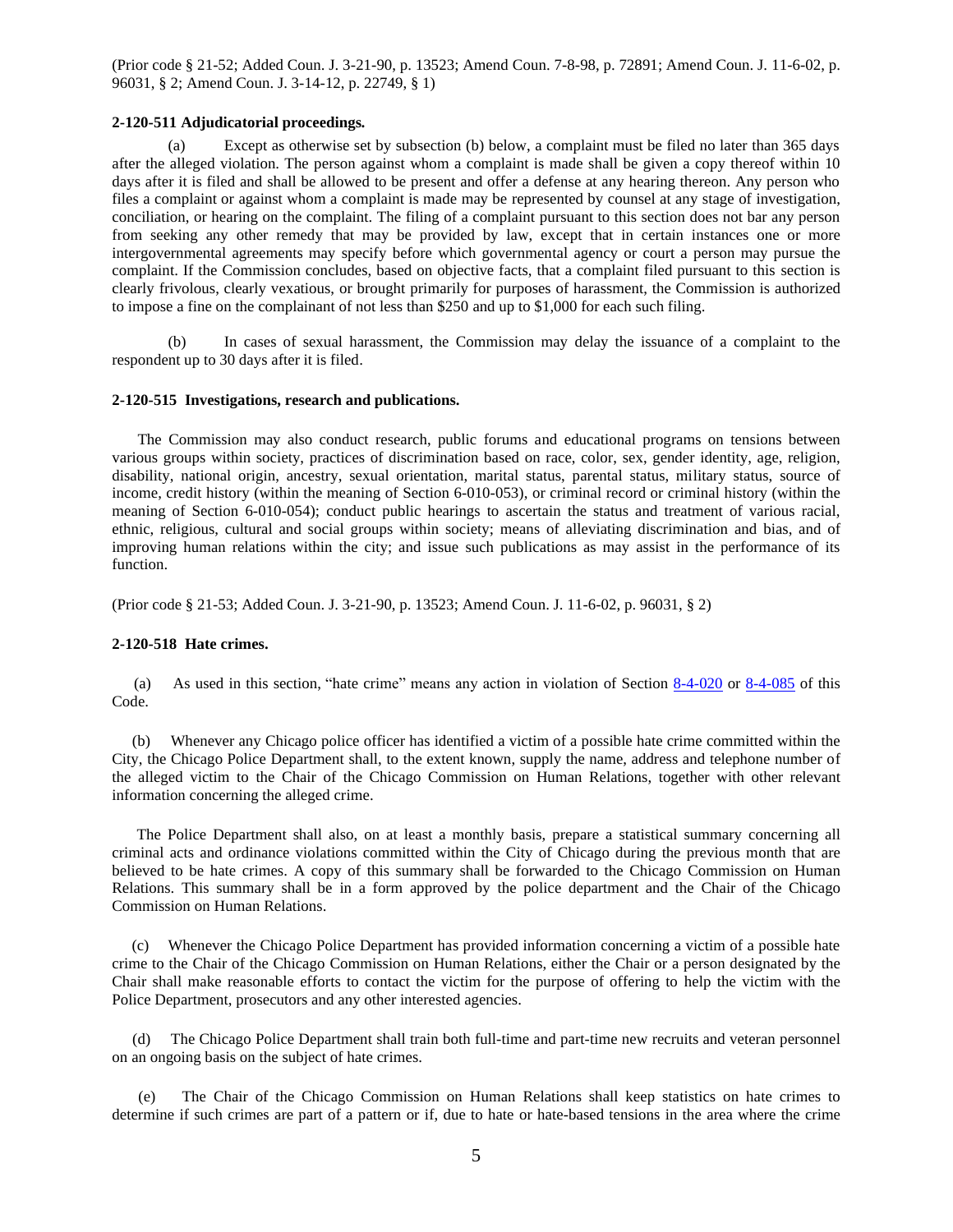(Prior code § 21-52; Added Coun. J. 3-21-90, p. 13523; Amend Coun. 7-8-98, p. 72891; Amend Coun. J. 11-6-02, p. 96031, § 2; Amend Coun. J. 3-14-12, p. 22749, § 1)

#### **2-120-511 Adjudicatorial proceedings***.*

(a) Except as otherwise set by subsection (b) below, a complaint must be filed no later than 365 days after the alleged violation. The person against whom a complaint is made shall be given a copy thereof within 10 days after it is filed and shall be allowed to be present and offer a defense at any hearing thereon. Any person who files a complaint or against whom a complaint is made may be represented by counsel at any stage of investigation, conciliation, or hearing on the complaint. The filing of a complaint pursuant to this section does not bar any person from seeking any other remedy that may be provided by law, except that in certain instances one or more intergovernmental agreements may specify before which governmental agency or court a person may pursue the complaint. If the Commission concludes, based on objective facts, that a complaint filed pursuant to this section is clearly frivolous, clearly vexatious, or brought primarily for purposes of harassment, the Commission is authorized to impose a fine on the complainant of not less than \$250 and up to \$1,000 for each such filing.

(b) In cases of sexual harassment, the Commission may delay the issuance of a complaint to the respondent up to 30 days after it is filed.

#### **2-120-515 Investigations, research and publications.**

The Commission may also conduct research, public forums and educational programs on tensions between various groups within society, practices of discrimination based on race, color, sex, gender identity, age, religion, disability, national origin, ancestry, sexual orientation, marital status, parental status, military status, source of income, credit history (within the meaning of Section 6-010-053), or criminal record or criminal history (within the meaning of Section 6-010-054); conduct public hearings to ascertain the status and treatment of various racial, ethnic, religious, cultural and social groups within society; means of alleviating discrimination and bias, and of improving human relations within the city; and issue such publications as may assist in the performance of its function.

(Prior code § 21-53; Added Coun. J. 3-21-90, p. 13523; Amend Coun. J. 11-6-02, p. 96031, § 2)

#### **2-120-518 Hate crimes.**

(a) As used in this section, "hate crime" means any action in violation of Section [8-4-020](http://www.amlegal.com/nxt/gateway.dll?f=id$id=Municipal%20Code%20of%20Chicago%3Ar%3A77f1$cid=illinois$t=document-frame.htm$an=JD_8-4-020$3.0#JD_8-4-020) or [8-4-085](http://www.amlegal.com/nxt/gateway.dll?f=id$id=Municipal%20Code%20of%20Chicago%3Ar%3A77f1$cid=illinois$t=document-frame.htm$an=JD_8-4-085$3.0#JD_8-4-085) of this Code.

(b) Whenever any Chicago police officer has identified a victim of a possible hate crime committed within the City, the Chicago Police Department shall, to the extent known, supply the name, address and telephone number of the alleged victim to the Chair of the Chicago Commission on Human Relations, together with other relevant information concerning the alleged crime.

The Police Department shall also, on at least a monthly basis, prepare a statistical summary concerning all criminal acts and ordinance violations committed within the City of Chicago during the previous month that are believed to be hate crimes. A copy of this summary shall be forwarded to the Chicago Commission on Human Relations. This summary shall be in a form approved by the police department and the Chair of the Chicago Commission on Human Relations.

(c) Whenever the Chicago Police Department has provided information concerning a victim of a possible hate crime to the Chair of the Chicago Commission on Human Relations, either the Chair or a person designated by the Chair shall make reasonable efforts to contact the victim for the purpose of offering to help the victim with the Police Department, prosecutors and any other interested agencies.

(d) The Chicago Police Department shall train both full-time and part-time new recruits and veteran personnel on an ongoing basis on the subject of hate crimes.

(e) The Chair of the Chicago Commission on Human Relations shall keep statistics on hate crimes to determine if such crimes are part of a pattern or if, due to hate or hate-based tensions in the area where the crime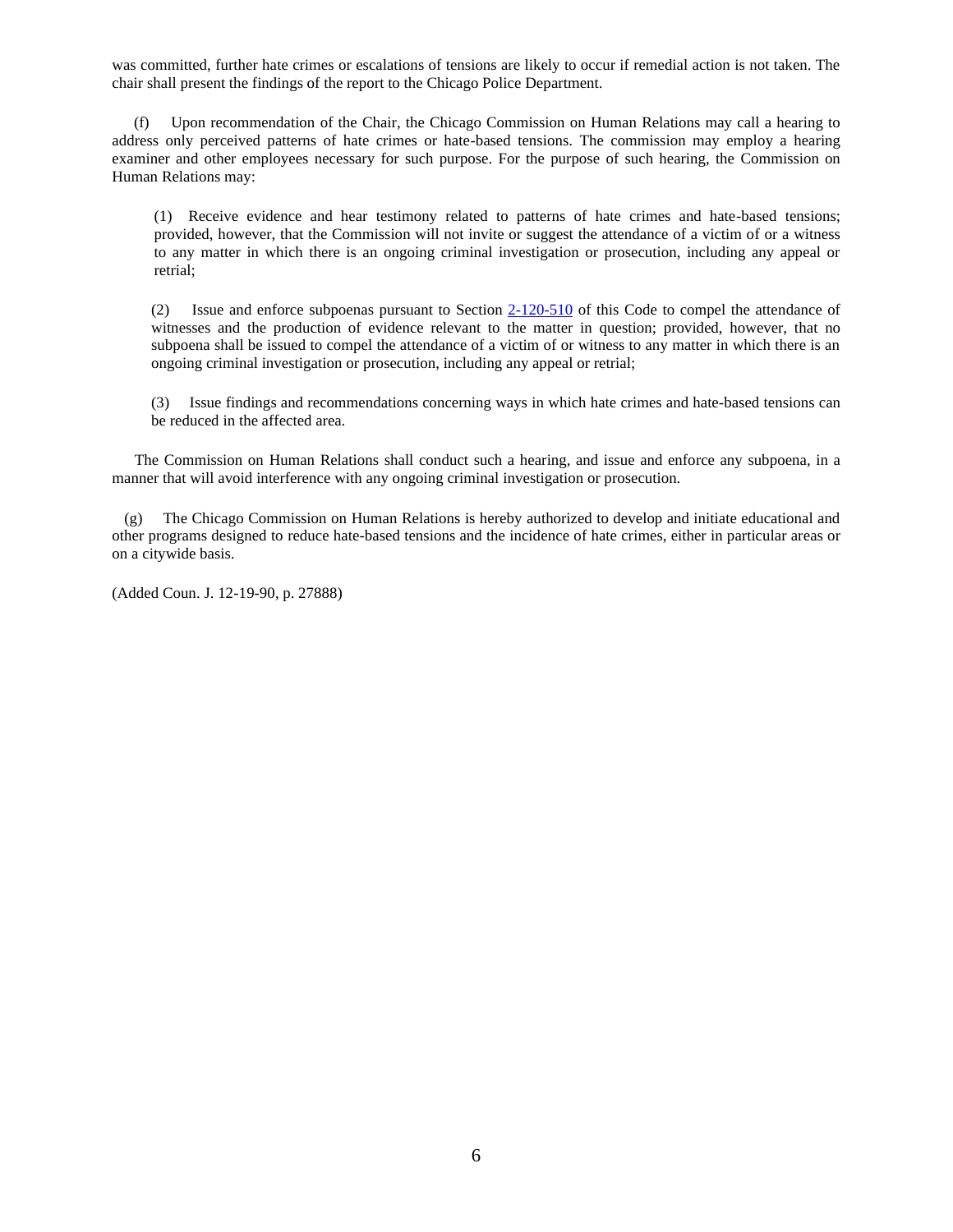was committed, further hate crimes or escalations of tensions are likely to occur if remedial action is not taken. The chair shall present the findings of the report to the Chicago Police Department.

(f) Upon recommendation of the Chair, the Chicago Commission on Human Relations may call a hearing to address only perceived patterns of hate crimes or hate-based tensions. The commission may employ a hearing examiner and other employees necessary for such purpose. For the purpose of such hearing, the Commission on Human Relations may:

(1) Receive evidence and hear testimony related to patterns of hate crimes and hate-based tensions; provided, however, that the Commission will not invite or suggest the attendance of a victim of or a witness to any matter in which there is an ongoing criminal investigation or prosecution, including any appeal or retrial;

(2) Issue and enforce subpoenas pursuant to Section [2-120-510](http://www.amlegal.com/nxt/gateway.dll?f=id$id=Municipal%20Code%20of%20Chicago%3Ar%3A1516$cid=illinois$t=document-frame.htm$an=JD_2-120-510$3.0#JD_2-120-510) of this Code to compel the attendance of witnesses and the production of evidence relevant to the matter in question; provided, however, that no subpoena shall be issued to compel the attendance of a victim of or witness to any matter in which there is an ongoing criminal investigation or prosecution, including any appeal or retrial;

(3) Issue findings and recommendations concerning ways in which hate crimes and hate-based tensions can be reduced in the affected area.

The Commission on Human Relations shall conduct such a hearing, and issue and enforce any subpoena, in a manner that will avoid interference with any ongoing criminal investigation or prosecution.

(g) The Chicago Commission on Human Relations is hereby authorized to develop and initiate educational and other programs designed to reduce hate-based tensions and the incidence of hate crimes, either in particular areas or on a citywide basis.

(Added Coun. J. 12-19-90, p. 27888)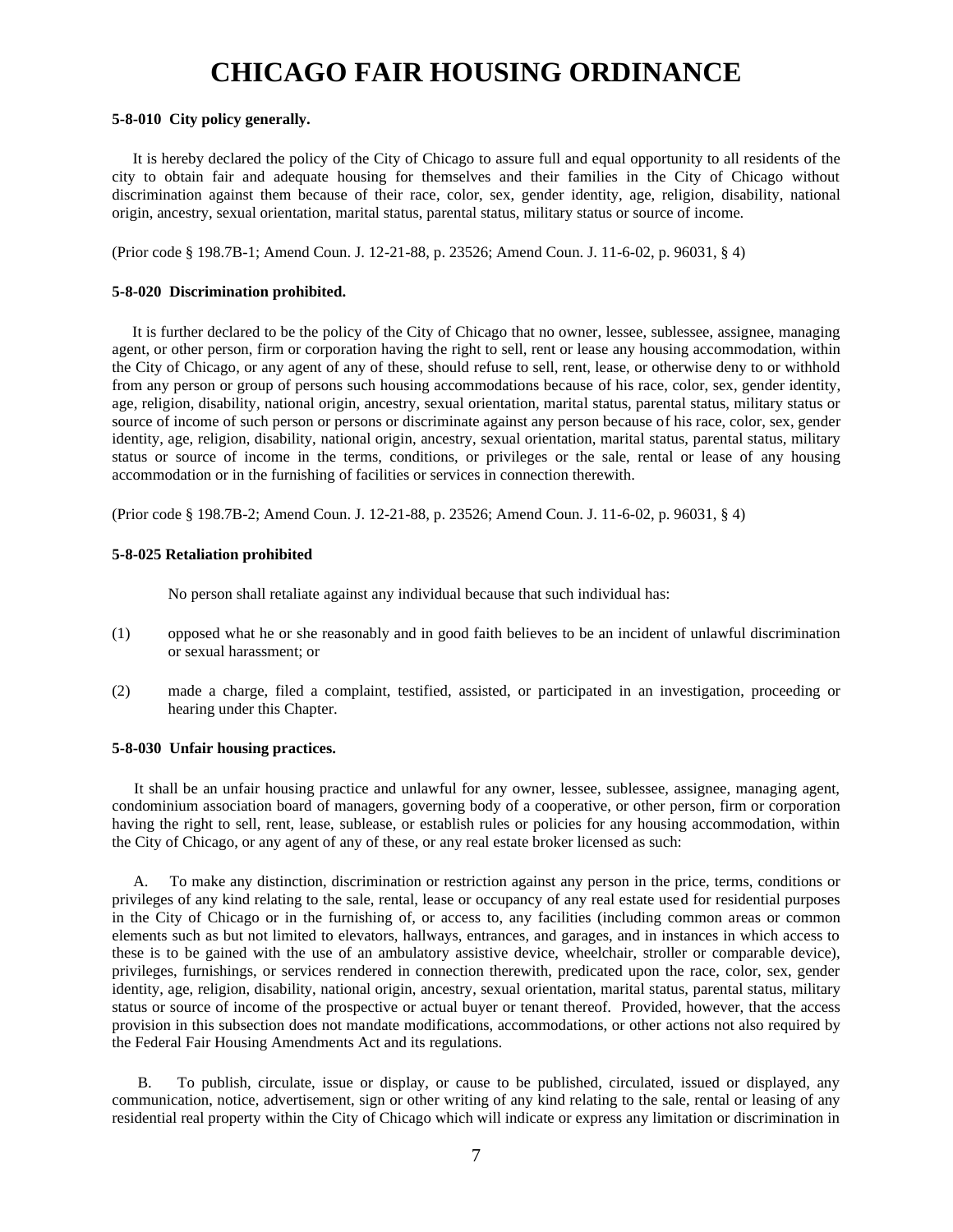### **CHICAGO FAIR HOUSING ORDINANCE**

#### **5-8-010 City policy generally.**

It is hereby declared the policy of the City of Chicago to assure full and equal opportunity to all residents of the city to obtain fair and adequate housing for themselves and their families in the City of Chicago without discrimination against them because of their race, color, sex, gender identity, age, religion, disability, national origin, ancestry, sexual orientation, marital status, parental status, military status or source of income.

(Prior code § 198.7B-1; Amend Coun. J. 12-21-88, p. 23526; Amend Coun. J. 11-6-02, p. 96031, § 4)

#### **5-8-020 Discrimination prohibited.**

It is further declared to be the policy of the City of Chicago that no owner, lessee, sublessee, assignee, managing agent, or other person, firm or corporation having the right to sell, rent or lease any housing accommodation, within the City of Chicago, or any agent of any of these, should refuse to sell, rent, lease, or otherwise deny to or withhold from any person or group of persons such housing accommodations because of his race, color, sex, gender identity, age, religion, disability, national origin, ancestry, sexual orientation, marital status, parental status, military status or source of income of such person or persons or discriminate against any person because of his race, color, sex, gender identity, age, religion, disability, national origin, ancestry, sexual orientation, marital status, parental status, military status or source of income in the terms, conditions, or privileges or the sale, rental or lease of any housing accommodation or in the furnishing of facilities or services in connection therewith.

(Prior code § 198.7B-2; Amend Coun. J. 12-21-88, p. 23526; Amend Coun. J. 11-6-02, p. 96031, § 4)

#### **5-8-025 Retaliation prohibited**

No person shall retaliate against any individual because that such individual has:

- (1) opposed what he or she reasonably and in good faith believes to be an incident of unlawful discrimination or sexual harassment; or
- (2) made a charge, filed a complaint, testified, assisted, or participated in an investigation, proceeding or hearing under this Chapter.

#### **5-8-030 Unfair housing practices.**

It shall be an unfair housing practice and unlawful for any owner, lessee, sublessee, assignee, managing agent, condominium association board of managers, governing body of a cooperative, or other person, firm or corporation having the right to sell, rent, lease, sublease, or establish rules or policies for any housing accommodation, within the City of Chicago, or any agent of any of these, or any real estate broker licensed as such:

A. To make any distinction, discrimination or restriction against any person in the price, terms, conditions or privileges of any kind relating to the sale, rental, lease or occupancy of any real estate used for residential purposes in the City of Chicago or in the furnishing of, or access to, any facilities (including common areas or common elements such as but not limited to elevators, hallways, entrances, and garages, and in instances in which access to these is to be gained with the use of an ambulatory assistive device, wheelchair, stroller or comparable device), privileges, furnishings, or services rendered in connection therewith, predicated upon the race, color, sex, gender identity, age, religion, disability, national origin, ancestry, sexual orientation, marital status, parental status, military status or source of income of the prospective or actual buyer or tenant thereof. Provided, however, that the access provision in this subsection does not mandate modifications, accommodations, or other actions not also required by the Federal Fair Housing Amendments Act and its regulations.

B. To publish, circulate, issue or display, or cause to be published, circulated, issued or displayed, any communication, notice, advertisement, sign or other writing of any kind relating to the sale, rental or leasing of any residential real property within the City of Chicago which will indicate or express any limitation or discrimination in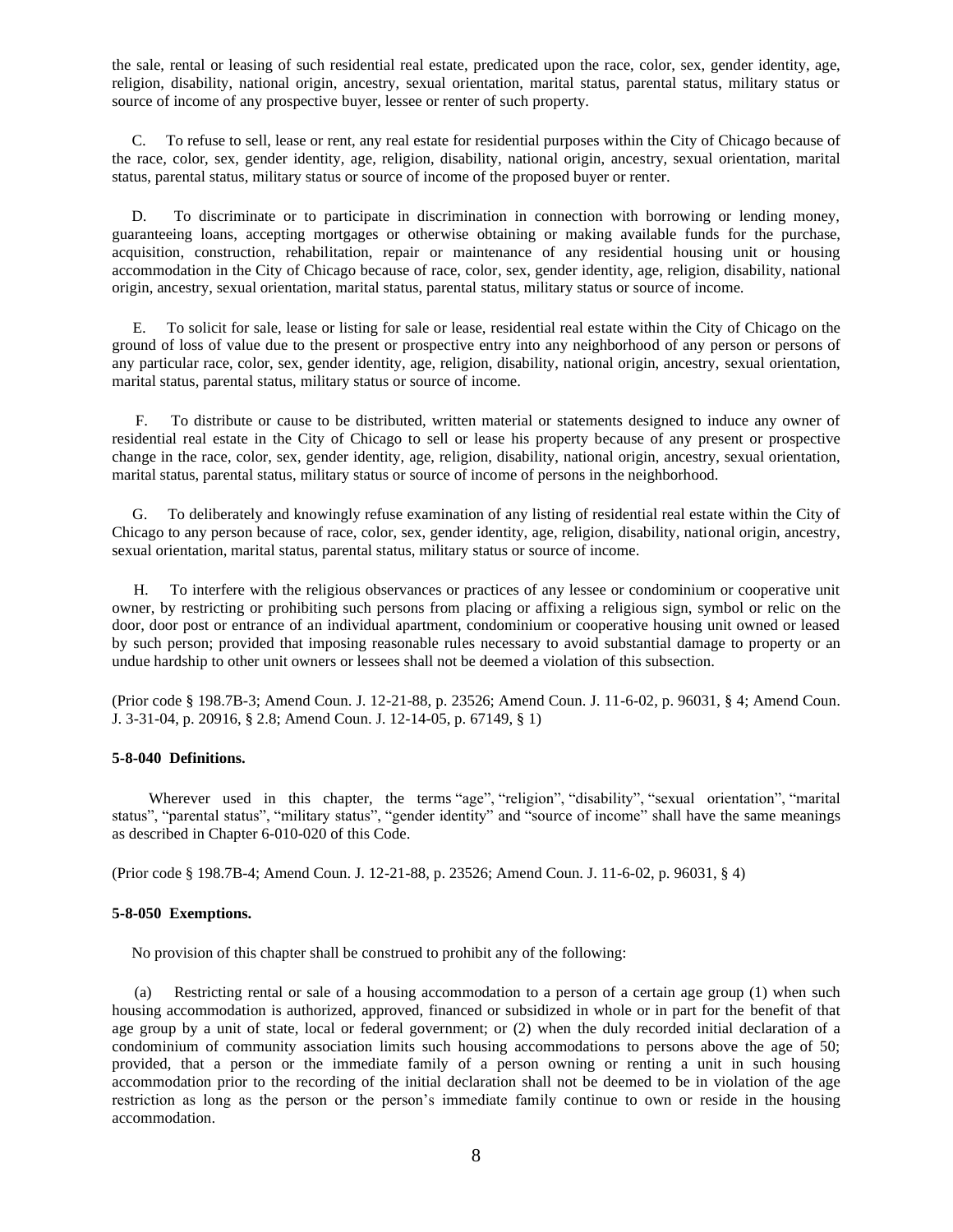the sale, rental or leasing of such residential real estate, predicated upon the race, color, sex, gender identity, age, religion, disability, national origin, ancestry, sexual orientation, marital status, parental status, military status or source of income of any prospective buyer, lessee or renter of such property.

C. To refuse to sell, lease or rent, any real estate for residential purposes within the City of Chicago because of the race, color, sex, gender identity, age, religion, disability, national origin, ancestry, sexual orientation, marital status, parental status, military status or source of income of the proposed buyer or renter.

D. To discriminate or to participate in discrimination in connection with borrowing or lending money, guaranteeing loans, accepting mortgages or otherwise obtaining or making available funds for the purchase, acquisition, construction, rehabilitation, repair or maintenance of any residential housing unit or housing accommodation in the City of Chicago because of race, color, sex, gender identity, age, religion, disability, national origin, ancestry, sexual orientation, marital status, parental status, military status or source of income.

E. To solicit for sale, lease or listing for sale or lease, residential real estate within the City of Chicago on the ground of loss of value due to the present or prospective entry into any neighborhood of any person or persons of any particular race, color, sex, gender identity, age, religion, disability, national origin, ancestry, sexual orientation, marital status, parental status, military status or source of income.

F. To distribute or cause to be distributed, written material or statements designed to induce any owner of residential real estate in the City of Chicago to sell or lease his property because of any present or prospective change in the race, color, sex, gender identity, age, religion, disability, national origin, ancestry, sexual orientation, marital status, parental status, military status or source of income of persons in the neighborhood.

G. To deliberately and knowingly refuse examination of any listing of residential real estate within the City of Chicago to any person because of race, color, sex, gender identity, age, religion, disability, national origin, ancestry, sexual orientation, marital status, parental status, military status or source of income.

H. To interfere with the religious observances or practices of any lessee or condominium or cooperative unit owner, by restricting or prohibiting such persons from placing or affixing a religious sign, symbol or relic on the door, door post or entrance of an individual apartment, condominium or cooperative housing unit owned or leased by such person; provided that imposing reasonable rules necessary to avoid substantial damage to property or an undue hardship to other unit owners or lessees shall not be deemed a violation of this subsection.

(Prior code § 198.7B-3; Amend Coun. J. 12-21-88, p. 23526; Amend Coun. J. 11-6-02, p. 96031, § 4; Amend Coun. J. 3-31-04, p. 20916, § 2.8; Amend Coun. J. 12-14-05, p. 67149, § 1)

#### **5-8-040 Definitions.**

Wherever used in this chapter, the terms "age", "religion", "disability", "sexual orientation", "marital status", "parental status", "military status", "gender identity" and "source of income" shall have the same meanings as described in Chapter 6-010-020 of this Code.

(Prior code § 198.7B-4; Amend Coun. J. 12-21-88, p. 23526; Amend Coun. J. 11-6-02, p. 96031, § 4)

#### **5-8-050 Exemptions.**

No provision of this chapter shall be construed to prohibit any of the following:

(a) Restricting rental or sale of a housing accommodation to a person of a certain age group (1) when such housing accommodation is authorized, approved, financed or subsidized in whole or in part for the benefit of that age group by a unit of state, local or federal government; or (2) when the duly recorded initial declaration of a condominium of community association limits such housing accommodations to persons above the age of 50; provided, that a person or the immediate family of a person owning or renting a unit in such housing accommodation prior to the recording of the initial declaration shall not be deemed to be in violation of the age restriction as long as the person or the person's immediate family continue to own or reside in the housing accommodation.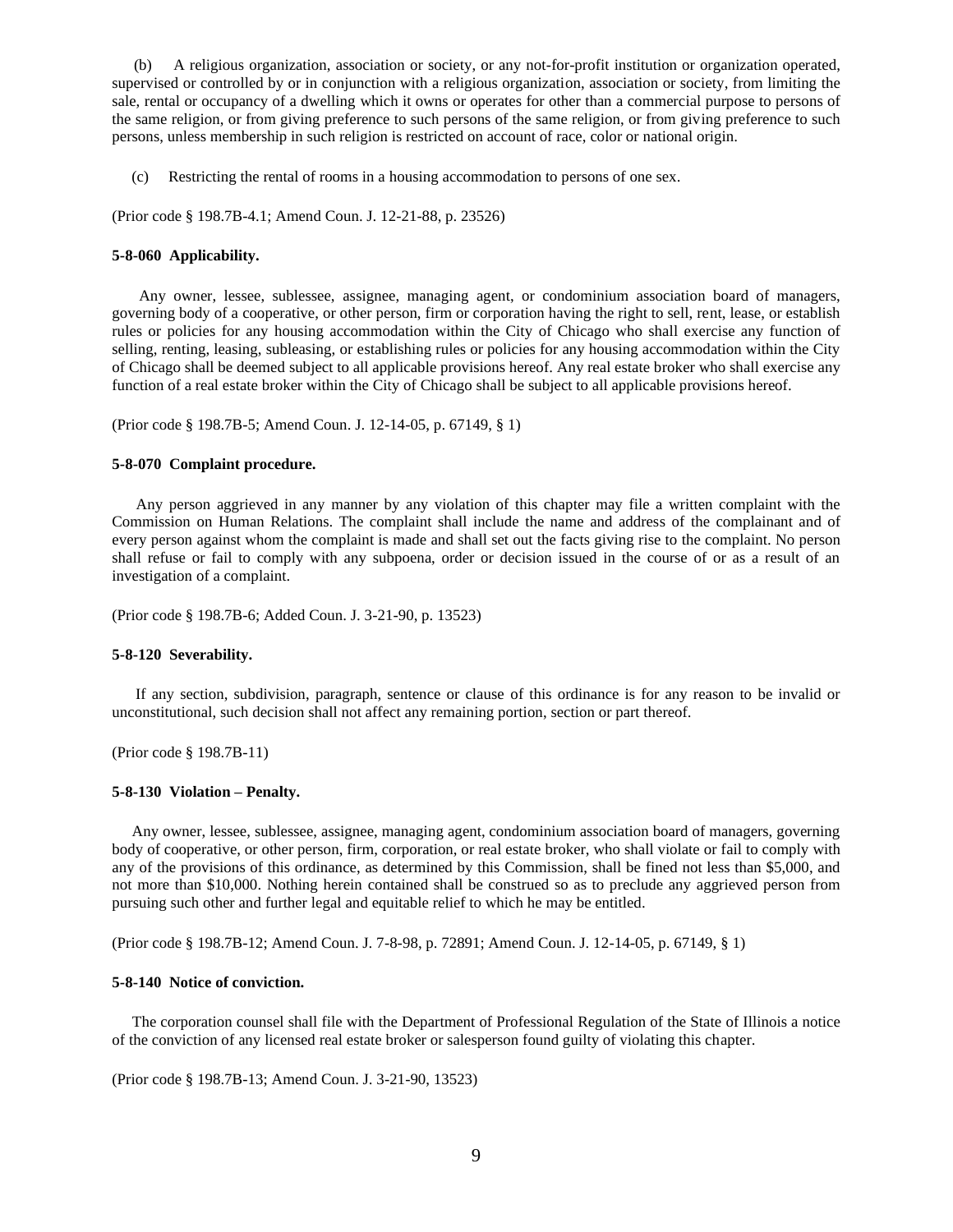(b) A religious organization, association or society, or any not-for-profit institution or organization operated, supervised or controlled by or in conjunction with a religious organization, association or society, from limiting the sale, rental or occupancy of a dwelling which it owns or operates for other than a commercial purpose to persons of the same religion, or from giving preference to such persons of the same religion, or from giving preference to such persons, unless membership in such religion is restricted on account of race, color or national origin.

(c) Restricting the rental of rooms in a housing accommodation to persons of one sex.

(Prior code § 198.7B-4.1; Amend Coun. J. 12-21-88, p. 23526)

#### **5-8-060 Applicability.**

Any owner, lessee, sublessee, assignee, managing agent, or condominium association board of managers, governing body of a cooperative, or other person, firm or corporation having the right to sell, rent, lease, or establish rules or policies for any housing accommodation within the City of Chicago who shall exercise any function of selling, renting, leasing, subleasing, or establishing rules or policies for any housing accommodation within the City of Chicago shall be deemed subject to all applicable provisions hereof. Any real estate broker who shall exercise any function of a real estate broker within the City of Chicago shall be subject to all applicable provisions hereof.

(Prior code § 198.7B-5; Amend Coun. J. 12-14-05, p. 67149, § 1)

#### **5-8-070 Complaint procedure.**

Any person aggrieved in any manner by any violation of this chapter may file a written complaint with the Commission on Human Relations. The complaint shall include the name and address of the complainant and of every person against whom the complaint is made and shall set out the facts giving rise to the complaint. No person shall refuse or fail to comply with any subpoena, order or decision issued in the course of or as a result of an investigation of a complaint.

(Prior code § 198.7B-6; Added Coun. J. 3-21-90, p. 13523)

#### **5-8-120 Severability.**

If any section, subdivision, paragraph, sentence or clause of this ordinance is for any reason to be invalid or unconstitutional, such decision shall not affect any remaining portion, section or part thereof.

(Prior code § 198.7B-11)

#### **5-8-130 Violation – Penalty.**

Any owner, lessee, sublessee, assignee, managing agent, condominium association board of managers, governing body of cooperative, or other person, firm, corporation, or real estate broker, who shall violate or fail to comply with any of the provisions of this ordinance, as determined by this Commission, shall be fined not less than \$5,000, and not more than \$10,000. Nothing herein contained shall be construed so as to preclude any aggrieved person from pursuing such other and further legal and equitable relief to which he may be entitled.

(Prior code § 198.7B-12; Amend Coun. J. 7-8-98, p. 72891; Amend Coun. J. 12-14-05, p. 67149, § 1)

#### **5-8-140 Notice of conviction.**

The corporation counsel shall file with the Department of Professional Regulation of the State of Illinois a notice of the conviction of any licensed real estate broker or salesperson found guilty of violating this chapter.

(Prior code § 198.7B-13; Amend Coun. J. 3-21-90, 13523)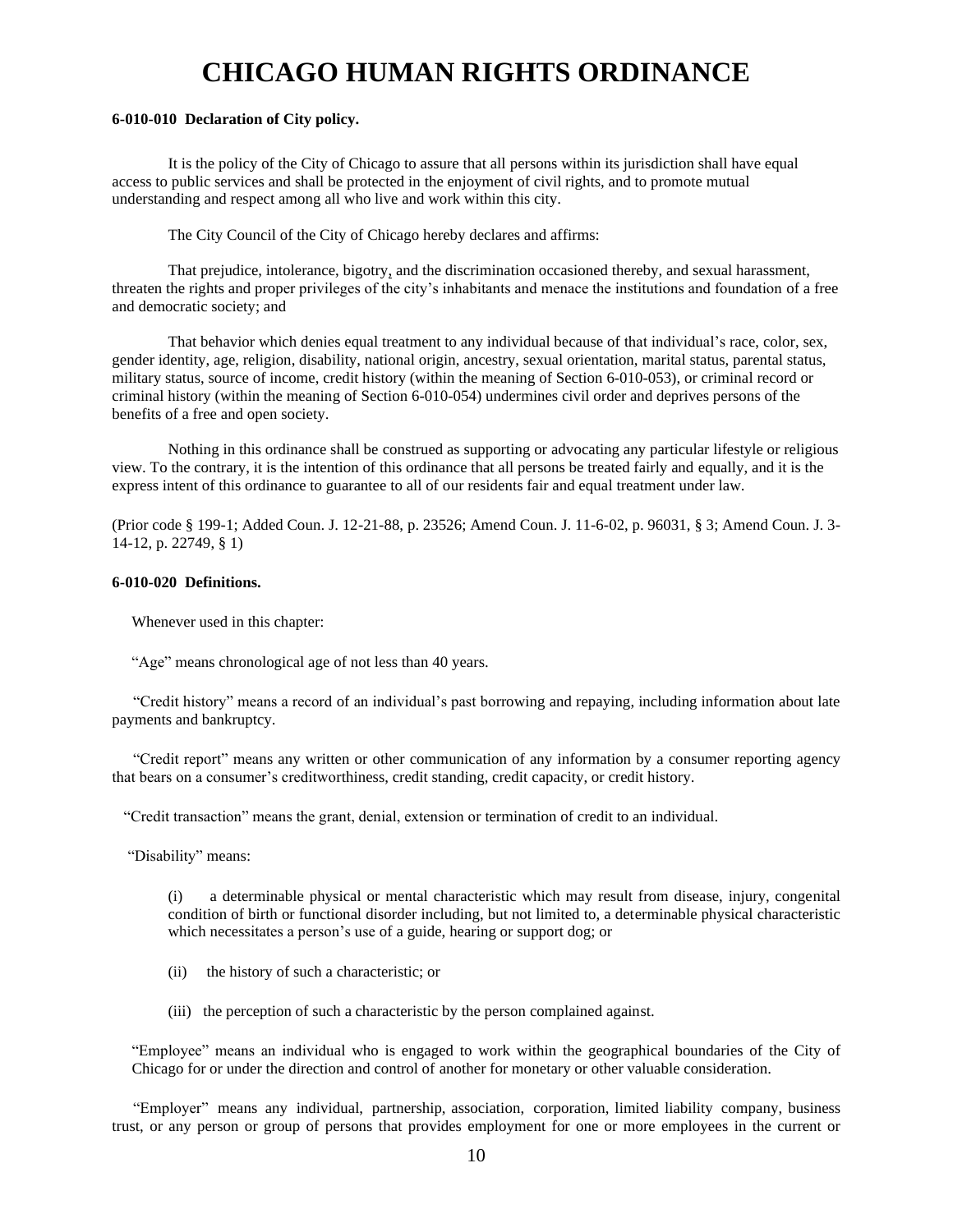# **CHICAGO HUMAN RIGHTS ORDINANCE**

#### **6-010-010 Declaration of City policy.**

It is the policy of the City of Chicago to assure that all persons within its jurisdiction shall have equal access to public services and shall be protected in the enjoyment of civil rights, and to promote mutual understanding and respect among all who live and work within this city.

The City Council of the City of Chicago hereby declares and affirms:

That prejudice, intolerance, bigotry, and the discrimination occasioned thereby, and sexual harassment, threaten the rights and proper privileges of the city's inhabitants and menace the institutions and foundation of a free and democratic society; and

That behavior which denies equal treatment to any individual because of that individual's race, color, sex, gender identity, age, religion, disability, national origin, ancestry, sexual orientation, marital status, parental status, military status, source of income, credit history (within the meaning of Section 6-010-053), or criminal record or criminal history (within the meaning of Section 6-010-054) undermines civil order and deprives persons of the benefits of a free and open society.

Nothing in this ordinance shall be construed as supporting or advocating any particular lifestyle or religious view. To the contrary, it is the intention of this ordinance that all persons be treated fairly and equally, and it is the express intent of this ordinance to guarantee to all of our residents fair and equal treatment under law.

(Prior code § 199-1; Added Coun. J. 12-21-88, p. 23526; Amend Coun. J. 11-6-02, p. 96031, § 3; Amend Coun. J. 3- 14-12, p. 22749, § 1)

#### **6-010-020 Definitions.**

Whenever used in this chapter:

"Age" means chronological age of not less than 40 years.

"Credit history" means a record of an individual's past borrowing and repaying, including information about late payments and bankruptcy.

"Credit report" means any written or other communication of any information by a consumer reporting agency that bears on a consumer's creditworthiness, credit standing, credit capacity, or credit history.

"Credit transaction" means the grant, denial, extension or termination of credit to an individual.

"Disability" means:

(i) a determinable physical or mental characteristic which may result from disease, injury, congenital condition of birth or functional disorder including, but not limited to, a determinable physical characteristic which necessitates a person's use of a guide, hearing or support dog; or

- (ii) the history of such a characteristic; or
- (iii) the perception of such a characteristic by the person complained against.

"Employee" means an individual who is engaged to work within the geographical boundaries of the City of Chicago for or under the direction and control of another for monetary or other valuable consideration.

"Employer" means any individual, partnership, association, corporation, limited liability company, business trust, or any person or group of persons that provides employment for one or more employees in the current or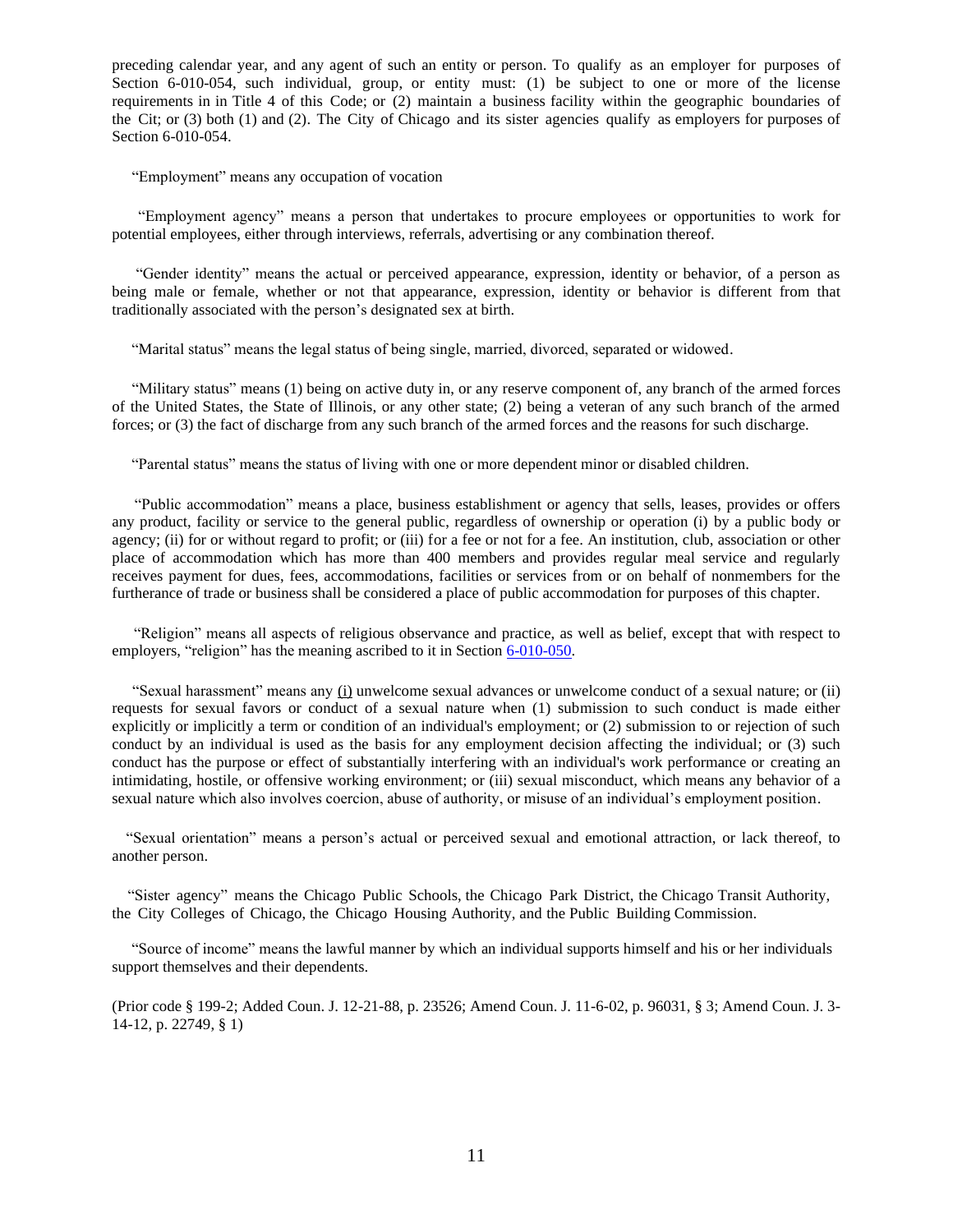preceding calendar year, and any agent of such an entity or person. To qualify as an employer for purposes of Section 6-010-054, such individual, group, or entity must: (1) be subject to one or more of the license requirements in in Title 4 of this Code; or (2) maintain a business facility within the geographic boundaries of the Cit; or (3) both (1) and (2). The City of Chicago and its sister agencies qualify as employers for purposes of Section 6-010-054.

"Employment" means any occupation of vocation

"Employment agency" means a person that undertakes to procure employees or opportunities to work for potential employees, either through interviews, referrals, advertising or any combination thereof.

"Gender identity" means the actual or perceived appearance, expression, identity or behavior, of a person as being male or female, whether or not that appearance, expression, identity or behavior is different from that traditionally associated with the person's designated sex at birth.

"Marital status" means the legal status of being single, married, divorced, separated or widowed.

"Military status" means (1) being on active duty in, or any reserve component of, any branch of the armed forces of the United States, the State of Illinois, or any other state; (2) being a veteran of any such branch of the armed forces; or (3) the fact of discharge from any such branch of the armed forces and the reasons for such discharge.

"Parental status" means the status of living with one or more dependent minor or disabled children.

"Public accommodation" means a place, business establishment or agency that sells, leases, provides or offers any product, facility or service to the general public, regardless of ownership or operation (i) by a public body or agency; (ii) for or without regard to profit; or (iii) for a fee or not for a fee. An institution, club, association or other place of accommodation which has more than 400 members and provides regular meal service and regularly receives payment for dues, fees, accommodations, facilities or services from or on behalf of nonmembers for the furtherance of trade or business shall be considered a place of public accommodation for purposes of this chapter.

"Religion" means all aspects of religious observance and practice, as well as belief, except that with respect to employers, "religion" has the meaning ascribed to it in Section [6-010-050.](http://www.amlegal.com/nxt/gateway.dll?f=id$id=Municipal%20Code%20of%20Chicago%3Ar%3A1a56$cid=illinois$t=document-frame.htm$an=JD_2-160-050$3.0#JD_2-160-050)

"Sexual harassment" means any (i) unwelcome sexual advances or unwelcome conduct of a sexual nature; or (ii) requests for sexual favors or conduct of a sexual nature when (1) submission to such conduct is made either explicitly or implicitly a term or condition of an individual's employment; or (2) submission to or rejection of such conduct by an individual is used as the basis for any employment decision affecting the individual; or (3) such conduct has the purpose or effect of substantially interfering with an individual's work performance or creating an intimidating, hostile, or offensive working environment; or (iii) sexual misconduct, which means any behavior of a sexual nature which also involves coercion, abuse of authority, or misuse of an individual's employment position.

"Sexual orientation" means a person's actual or perceived sexual and emotional attraction, or lack thereof, to another person.

 "Sister agency" means the Chicago Public Schools, the Chicago Park District, the Chicago Transit Authority, the City Colleges of Chicago, the Chicago Housing Authority, and the Public Building Commission.

 "Source of income" means the lawful manner by which an individual supports himself and his or her individuals support themselves and their dependents.

(Prior code § 199-2; Added Coun. J. 12-21-88, p. 23526; Amend Coun. J. 11-6-02, p. 96031, § 3; Amend Coun. J. 3- 14-12, p. 22749, § 1)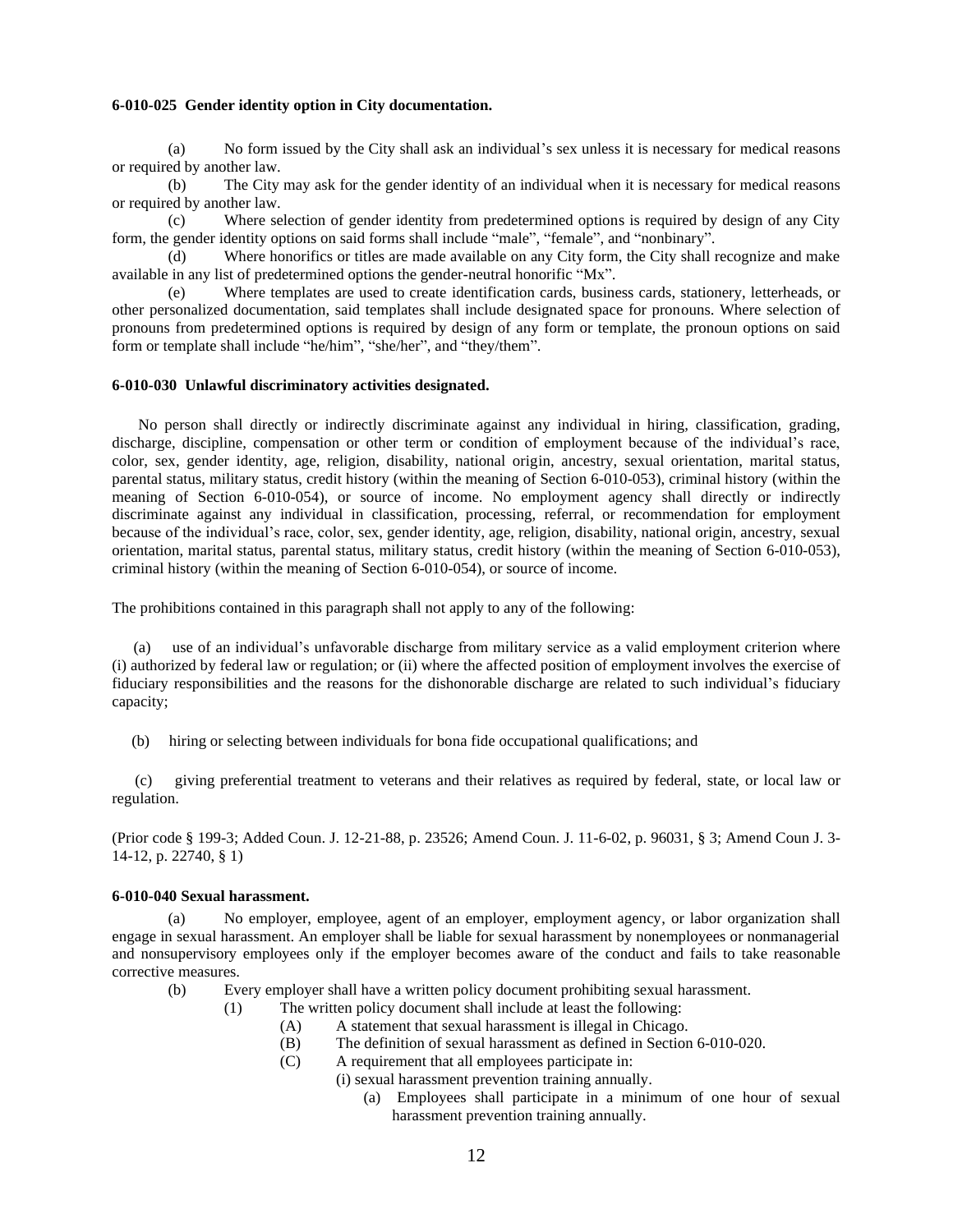#### **6-010-025 Gender identity option in City documentation.**

(a) No form issued by the City shall ask an individual's sex unless it is necessary for medical reasons or required by another law.

(b) The City may ask for the gender identity of an individual when it is necessary for medical reasons or required by another law.

(c) Where selection of gender identity from predetermined options is required by design of any City form, the gender identity options on said forms shall include "male", "female", and "nonbinary".

(d) Where honorifics or titles are made available on any City form, the City shall recognize and make available in any list of predetermined options the gender-neutral honorific "Mx".

(e) Where templates are used to create identification cards, business cards, stationery, letterheads, or other personalized documentation, said templates shall include designated space for pronouns. Where selection of pronouns from predetermined options is required by design of any form or template, the pronoun options on said form or template shall include "he/him", "she/her", and "they/them".

#### **6-010-030 Unlawful discriminatory activities designated.**

No person shall directly or indirectly discriminate against any individual in hiring, classification, grading, discharge, discipline, compensation or other term or condition of employment because of the individual's race, color, sex, gender identity, age, religion, disability, national origin, ancestry, sexual orientation, marital status, parental status, military status, credit history (within the meaning of Section 6-010-053), criminal history (within the meaning of Section 6-010-054), or source of income. No employment agency shall directly or indirectly discriminate against any individual in classification, processing, referral, or recommendation for employment because of the individual's race, color, sex, gender identity, age, religion, disability, national origin, ancestry, sexual orientation, marital status, parental status, military status, credit history (within the meaning of Section 6-010-053), criminal history (within the meaning of Section 6-010-054), or source of income.

The prohibitions contained in this paragraph shall not apply to any of the following:

use of an individual's unfavorable discharge from military service as a valid employment criterion where (i) authorized by federal law or regulation; or (ii) where the affected position of employment involves the exercise of fiduciary responsibilities and the reasons for the dishonorable discharge are related to such individual's fiduciary capacity;

(b) hiring or selecting between individuals for bona fide occupational qualifications; and

(c) giving preferential treatment to veterans and their relatives as required by federal, state, or local law or regulation.

(Prior code § 199-3; Added Coun. J. 12-21-88, p. 23526; Amend Coun. J. 11-6-02, p. 96031, § 3; Amend Coun J. 3- 14-12, p. 22740, § 1)

#### **6-010-040 Sexual harassment.**

(a) No employer, employee, agent of an employer, employment agency, or labor organization shall engage in sexual harassment. An employer shall be liable for sexual harassment by nonemployees or nonmanagerial and nonsupervisory employees only if the employer becomes aware of the conduct and fails to take reasonable corrective measures.

- (b) Every employer shall have a written policy document prohibiting sexual harassment.
	- (1) The written policy document shall include at least the following:
		- (A) A statement that sexual harassment is illegal in Chicago.
		- (B) The definition of sexual harassment as defined in Section 6-010-020.
		- (C) A requirement that all employees participate in:
			- (i) sexual harassment prevention training annually.
				- (a) Employees shall participate in a minimum of one hour of sexual harassment prevention training annually.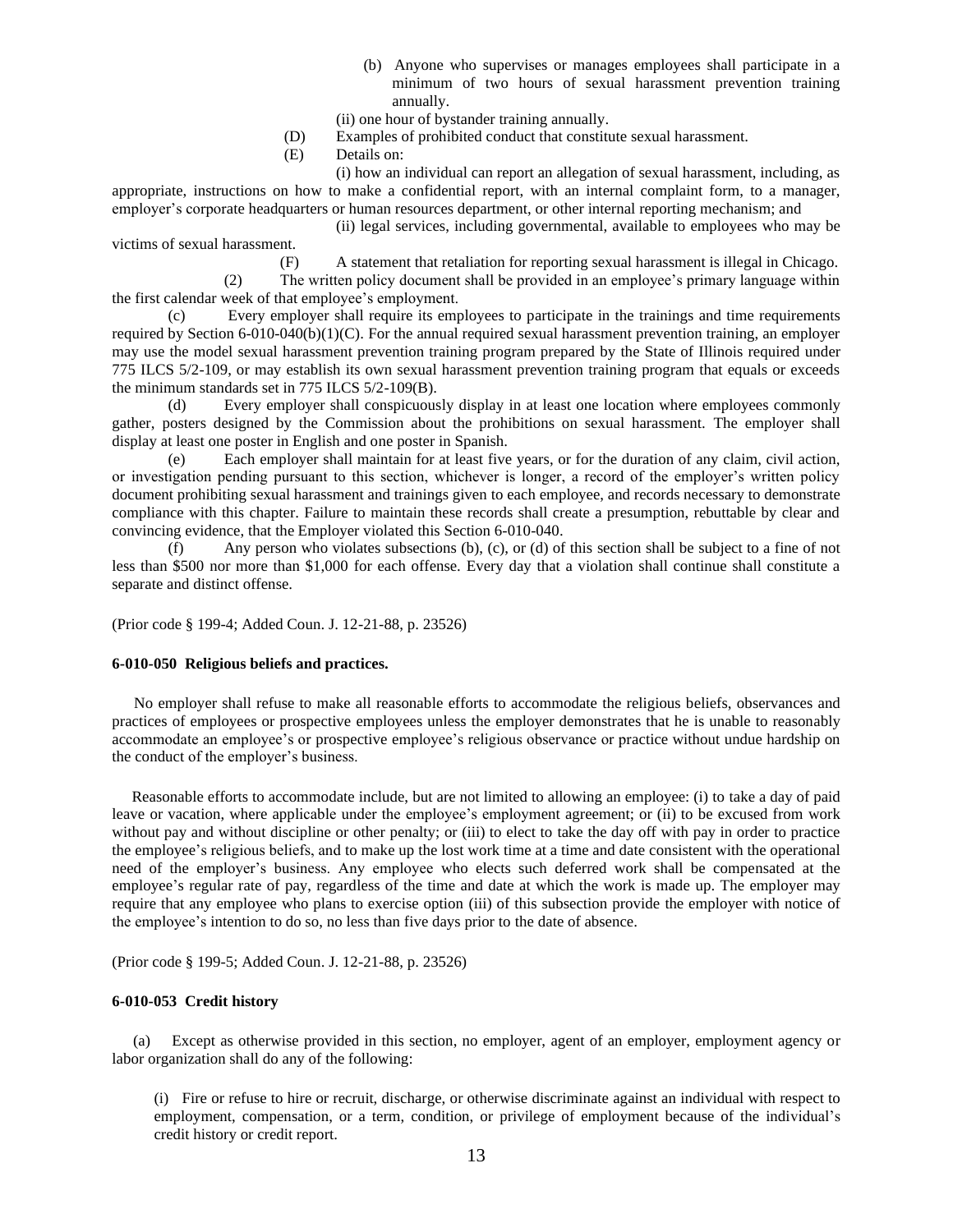- (b) Anyone who supervises or manages employees shall participate in a minimum of two hours of sexual harassment prevention training annually.
- (ii) one hour of bystander training annually.
- (D) Examples of prohibited conduct that constitute sexual harassment.
- (E) Details on:

(i) how an individual can report an allegation of sexual harassment, including, as appropriate, instructions on how to make a confidential report, with an internal complaint form, to a manager, employer's corporate headquarters or human resources department, or other internal reporting mechanism; and

(ii) legal services, including governmental, available to employees who may be victims of sexual harassment.

(F) A statement that retaliation for reporting sexual harassment is illegal in Chicago.

(2) The written policy document shall be provided in an employee's primary language within the first calendar week of that employee's employment.

(c) Every employer shall require its employees to participate in the trainings and time requirements required by Section 6-010-040(b)(1)(C). For the annual required sexual harassment prevention training, an employer may use the model sexual harassment prevention training program prepared by the State of Illinois required under 775 ILCS 5/2-109, or may establish its own sexual harassment prevention training program that equals or exceeds the minimum standards set in 775 ILCS 5/2-109(B).

(d) Every employer shall conspicuously display in at least one location where employees commonly gather, posters designed by the Commission about the prohibitions on sexual harassment. The employer shall display at least one poster in English and one poster in Spanish.

(e) Each employer shall maintain for at least five years, or for the duration of any claim, civil action, or investigation pending pursuant to this section, whichever is longer, a record of the employer's written policy document prohibiting sexual harassment and trainings given to each employee, and records necessary to demonstrate compliance with this chapter. Failure to maintain these records shall create a presumption, rebuttable by clear and convincing evidence, that the Employer violated this Section 6-010-040.

(f) Any person who violates subsections (b), (c), or (d) of this section shall be subject to a fine of not less than \$500 nor more than \$1,000 for each offense. Every day that a violation shall continue shall constitute a separate and distinct offense.

(Prior code § 199-4; Added Coun. J. 12-21-88, p. 23526)

#### **6-010-050 Religious beliefs and practices.**

No employer shall refuse to make all reasonable efforts to accommodate the religious beliefs, observances and practices of employees or prospective employees unless the employer demonstrates that he is unable to reasonably accommodate an employee's or prospective employee's religious observance or practice without undue hardship on the conduct of the employer's business.

Reasonable efforts to accommodate include, but are not limited to allowing an employee: (i) to take a day of paid leave or vacation, where applicable under the employee's employment agreement; or (ii) to be excused from work without pay and without discipline or other penalty; or (iii) to elect to take the day off with pay in order to practice the employee's religious beliefs, and to make up the lost work time at a time and date consistent with the operational need of the employer's business. Any employee who elects such deferred work shall be compensated at the employee's regular rate of pay, regardless of the time and date at which the work is made up. The employer may require that any employee who plans to exercise option (iii) of this subsection provide the employer with notice of the employee's intention to do so, no less than five days prior to the date of absence.

(Prior code § 199-5; Added Coun. J. 12-21-88, p. 23526)

#### **6-010-053 Credit history**

(a) Except as otherwise provided in this section, no employer, agent of an employer, employment agency or labor organization shall do any of the following:

(i) Fire or refuse to hire or recruit, discharge, or otherwise discriminate against an individual with respect to employment, compensation, or a term, condition, or privilege of employment because of the individual's credit history or credit report.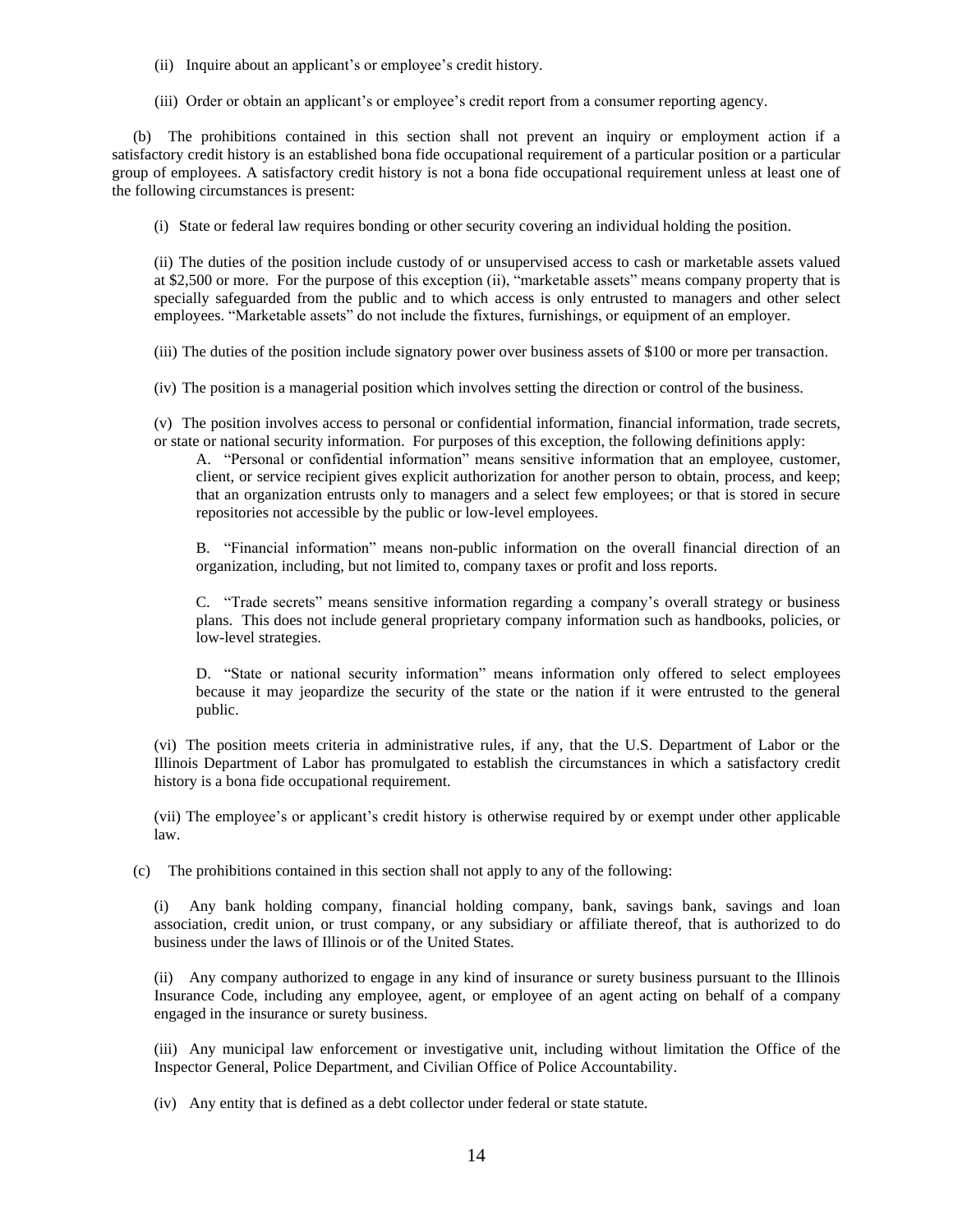- (ii) Inquire about an applicant's or employee's credit history.
- (iii) Order or obtain an applicant's or employee's credit report from a consumer reporting agency.

(b) The prohibitions contained in this section shall not prevent an inquiry or employment action if a satisfactory credit history is an established bona fide occupational requirement of a particular position or a particular group of employees. A satisfactory credit history is not a bona fide occupational requirement unless at least one of the following circumstances is present:

(i) State or federal law requires bonding or other security covering an individual holding the position.

(ii) The duties of the position include custody of or unsupervised access to cash or marketable assets valued at \$2,500 or more. For the purpose of this exception (ii), "marketable assets" means company property that is specially safeguarded from the public and to which access is only entrusted to managers and other select employees. "Marketable assets" do not include the fixtures, furnishings, or equipment of an employer.

(iii) The duties of the position include signatory power over business assets of \$100 or more per transaction.

(iv) The position is a managerial position which involves setting the direction or control of the business.

(v) The position involves access to personal or confidential information, financial information, trade secrets, or state or national security information. For purposes of this exception, the following definitions apply:

A. "Personal or confidential information" means sensitive information that an employee, customer, client, or service recipient gives explicit authorization for another person to obtain, process, and keep; that an organization entrusts only to managers and a select few employees; or that is stored in secure repositories not accessible by the public or low-level employees.

B. "Financial information" means non-public information on the overall financial direction of an organization, including, but not limited to, company taxes or profit and loss reports.

C. "Trade secrets" means sensitive information regarding a company's overall strategy or business plans. This does not include general proprietary company information such as handbooks, policies, or low-level strategies.

D. "State or national security information" means information only offered to select employees because it may jeopardize the security of the state or the nation if it were entrusted to the general public.

(vi) The position meets criteria in administrative rules, if any, that the U.S. Department of Labor or the Illinois Department of Labor has promulgated to establish the circumstances in which a satisfactory credit history is a bona fide occupational requirement.

(vii) The employee's or applicant's credit history is otherwise required by or exempt under other applicable law.

(c) The prohibitions contained in this section shall not apply to any of the following:

(i) Any bank holding company, financial holding company, bank, savings bank, savings and loan association, credit union, or trust company, or any subsidiary or affiliate thereof, that is authorized to do business under the laws of Illinois or of the United States.

(ii) Any company authorized to engage in any kind of insurance or surety business pursuant to the Illinois Insurance Code, including any employee, agent, or employee of an agent acting on behalf of a company engaged in the insurance or surety business.

(iii) Any municipal law enforcement or investigative unit, including without limitation the Office of the Inspector General, Police Department, and Civilian Office of Police Accountability.

(iv) Any entity that is defined as a debt collector under federal or state statute.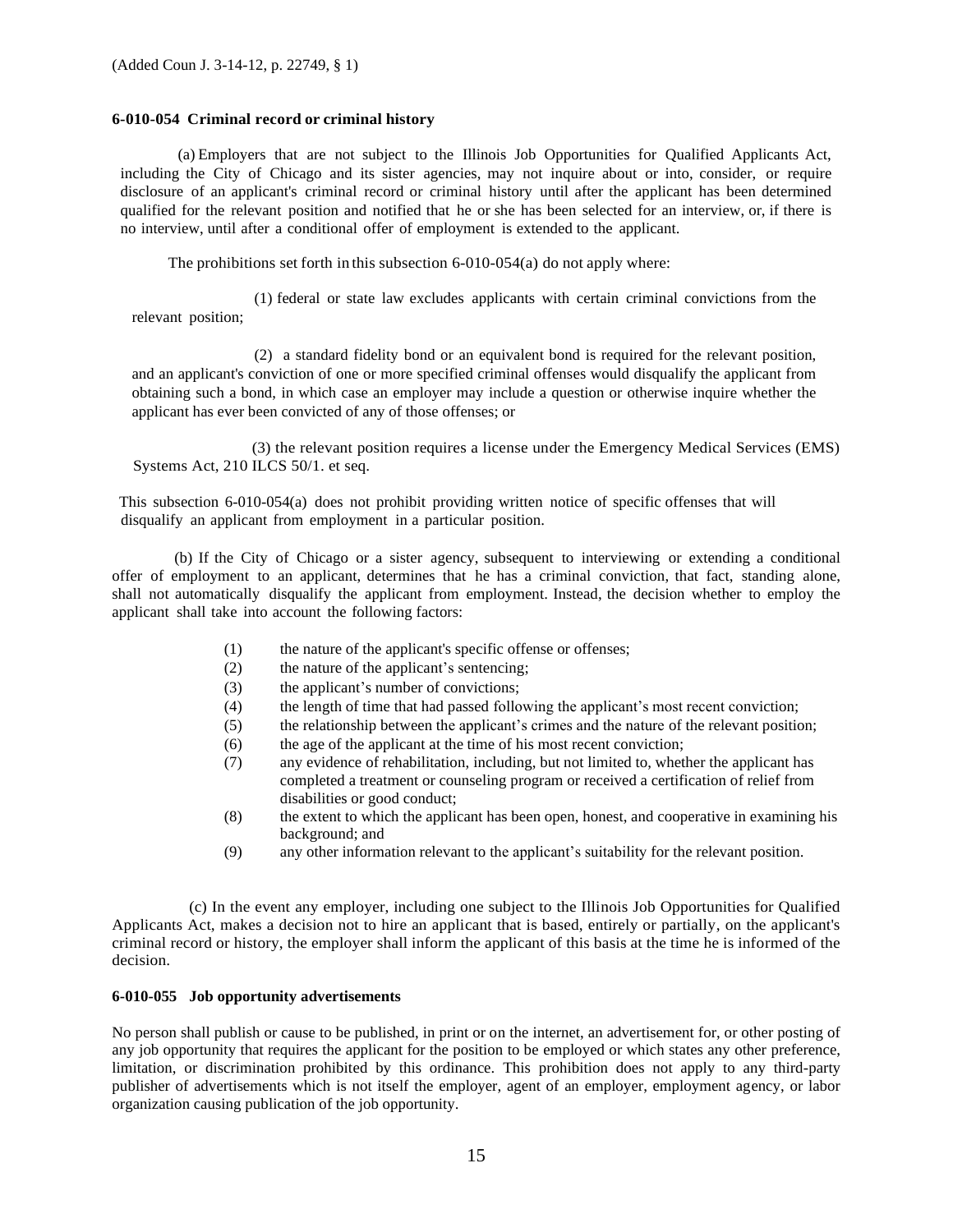#### **6-010-054 Criminal record or criminal history**

(a) Employers that are not subject to the Illinois Job Opportunities for Qualified Applicants Act, including the City of Chicago and its sister agencies, may not inquire about or into, consider, or require disclosure of an applicant's criminal record or criminal history until after the applicant has been determined qualified for the relevant position and notified that he or she has been selected for an interview, or, if there is no interview, until after a conditional offer of employment is extended to the applicant.

The prohibitions set forth in this subsection 6-010-054(a) do not apply where:

(1) federal or state law excludes applicants with certain criminal convictions from the relevant position;

(2) a standard fidelity bond or an equivalent bond is required for the relevant position, and an applicant's conviction of one or more specified criminal offenses would disqualify the applicant from obtaining such a bond, in which case an employer may include a question or otherwise inquire whether the applicant has ever been convicted of any of those offenses; or

(3) the relevant position requires a license under the Emergency Medical Services (EMS) Systems Act, 210 ILCS 50/1. et seq.

This subsection 6-010-054(a) does not prohibit providing written notice of specific offenses that will disqualify an applicant from employment in a particular position.

 (b) If the City of Chicago or a sister agency, subsequent to interviewing or extending a conditional offer of employment to an applicant, determines that he has a criminal conviction, that fact, standing alone, shall not automatically disqualify the applicant from employment. Instead, the decision whether to employ the applicant shall take into account the following factors:

- (1) the nature of the applicant's specific offense or offenses;
- (2) the nature of the applicant's sentencing;
- (3) the applicant's number of convictions;
- (4) the length of time that had passed following the applicant's most recent conviction;
- (5) the relationship between the applicant's crimes and the nature of the relevant position;
- (6) the age of the applicant at the time of his most recent conviction;
- (7) any evidence of rehabilitation, including, but not limited to, whether the applicant has completed a treatment or counseling program or received a certification of relief from disabilities or good conduct;
- (8) the extent to which the applicant has been open, honest, and cooperative in examining his background; and
- (9) any other information relevant to the applicant's suitability for the relevant position.

(c) In the event any employer, including one subject to the Illinois Job Opportunities for Qualified Applicants Act, makes a decision not to hire an applicant that is based, entirely or partially, on the applicant's criminal record or history, the employer shall inform the applicant of this basis at the time he is informed of the decision.

#### **6-010-055 Job opportunity advertisements**

No person shall publish or cause to be published, in print or on the internet, an advertisement for, or other posting of any job opportunity that requires the applicant for the position to be employed or which states any other preference, limitation, or discrimination prohibited by this ordinance. This prohibition does not apply to any third-party publisher of advertisements which is not itself the employer, agent of an employer, employment agency, or labor organization causing publication of the job opportunity.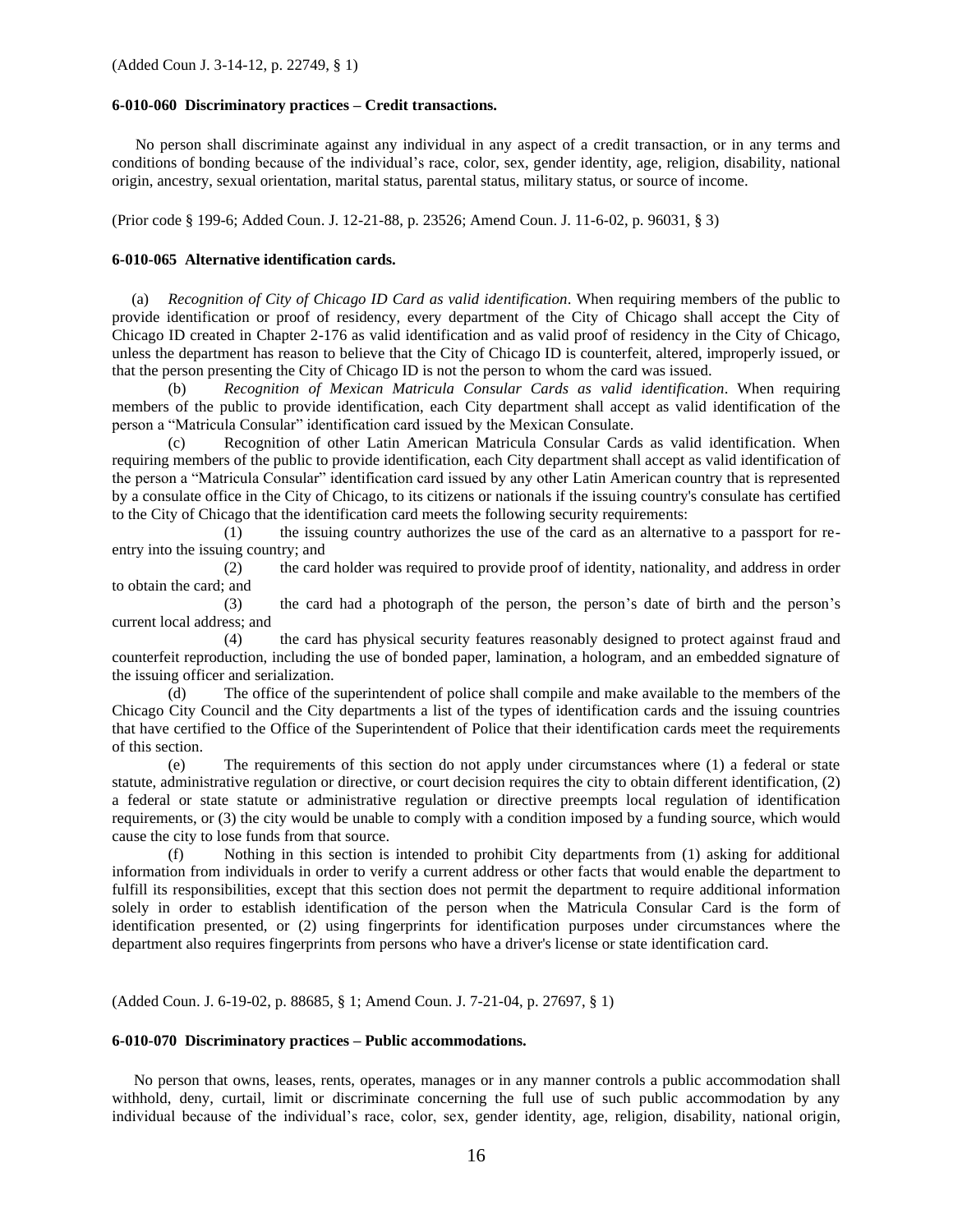#### **6-010-060 Discriminatory practices – Credit transactions.**

No person shall discriminate against any individual in any aspect of a credit transaction, or in any terms and conditions of bonding because of the individual's race, color, sex, gender identity, age, religion, disability, national origin, ancestry, sexual orientation, marital status, parental status, military status, or source of income.

(Prior code § 199-6; Added Coun. J. 12-21-88, p. 23526; Amend Coun. J. 11-6-02, p. 96031, § 3)

#### **6-010-065 Alternative identification cards.**

(a) *Recognition of City of Chicago ID Card as valid identification*. When requiring members of the public to provide identification or proof of residency, every department of the City of Chicago shall accept the City of Chicago ID created in Chapter 2-176 as valid identification and as valid proof of residency in the City of Chicago, unless the department has reason to believe that the City of Chicago ID is counterfeit, altered, improperly issued, or that the person presenting the City of Chicago ID is not the person to whom the card was issued.

(b) *Recognition of Mexican Matricula Consular Cards as valid identification*. When requiring members of the public to provide identification, each City department shall accept as valid identification of the person a "Matricula Consular" identification card issued by the Mexican Consulate.

(c) Recognition of other Latin American Matricula Consular Cards as valid identification. When requiring members of the public to provide identification, each City department shall accept as valid identification of the person a "Matricula Consular" identification card issued by any other Latin American country that is represented by a consulate office in the City of Chicago, to its citizens or nationals if the issuing country's consulate has certified to the City of Chicago that the identification card meets the following security requirements:

(1) the issuing country authorizes the use of the card as an alternative to a passport for reentry into the issuing country; and

(2) the card holder was required to provide proof of identity, nationality, and address in order to obtain the card; and

(3) the card had a photograph of the person, the person's date of birth and the person's current local address; and

(4) the card has physical security features reasonably designed to protect against fraud and counterfeit reproduction, including the use of bonded paper, lamination, a hologram, and an embedded signature of the issuing officer and serialization.

(d) The office of the superintendent of police shall compile and make available to the members of the Chicago City Council and the City departments a list of the types of identification cards and the issuing countries that have certified to the Office of the Superintendent of Police that their identification cards meet the requirements of this section.

(e) The requirements of this section do not apply under circumstances where (1) a federal or state statute, administrative regulation or directive, or court decision requires the city to obtain different identification, (2) a federal or state statute or administrative regulation or directive preempts local regulation of identification requirements, or (3) the city would be unable to comply with a condition imposed by a funding source, which would cause the city to lose funds from that source.

(f) Nothing in this section is intended to prohibit City departments from (1) asking for additional information from individuals in order to verify a current address or other facts that would enable the department to fulfill its responsibilities, except that this section does not permit the department to require additional information solely in order to establish identification of the person when the Matricula Consular Card is the form of identification presented, or (2) using fingerprints for identification purposes under circumstances where the department also requires fingerprints from persons who have a driver's license or state identification card.

(Added Coun. J. 6-19-02, p. 88685, § 1; Amend Coun. J. 7-21-04, p. 27697, § 1)

#### **6-010-070 Discriminatory practices – Public accommodations.**

No person that owns, leases, rents, operates, manages or in any manner controls a public accommodation shall withhold, deny, curtail, limit or discriminate concerning the full use of such public accommodation by any individual because of the individual's race, color, sex, gender identity, age, religion, disability, national origin,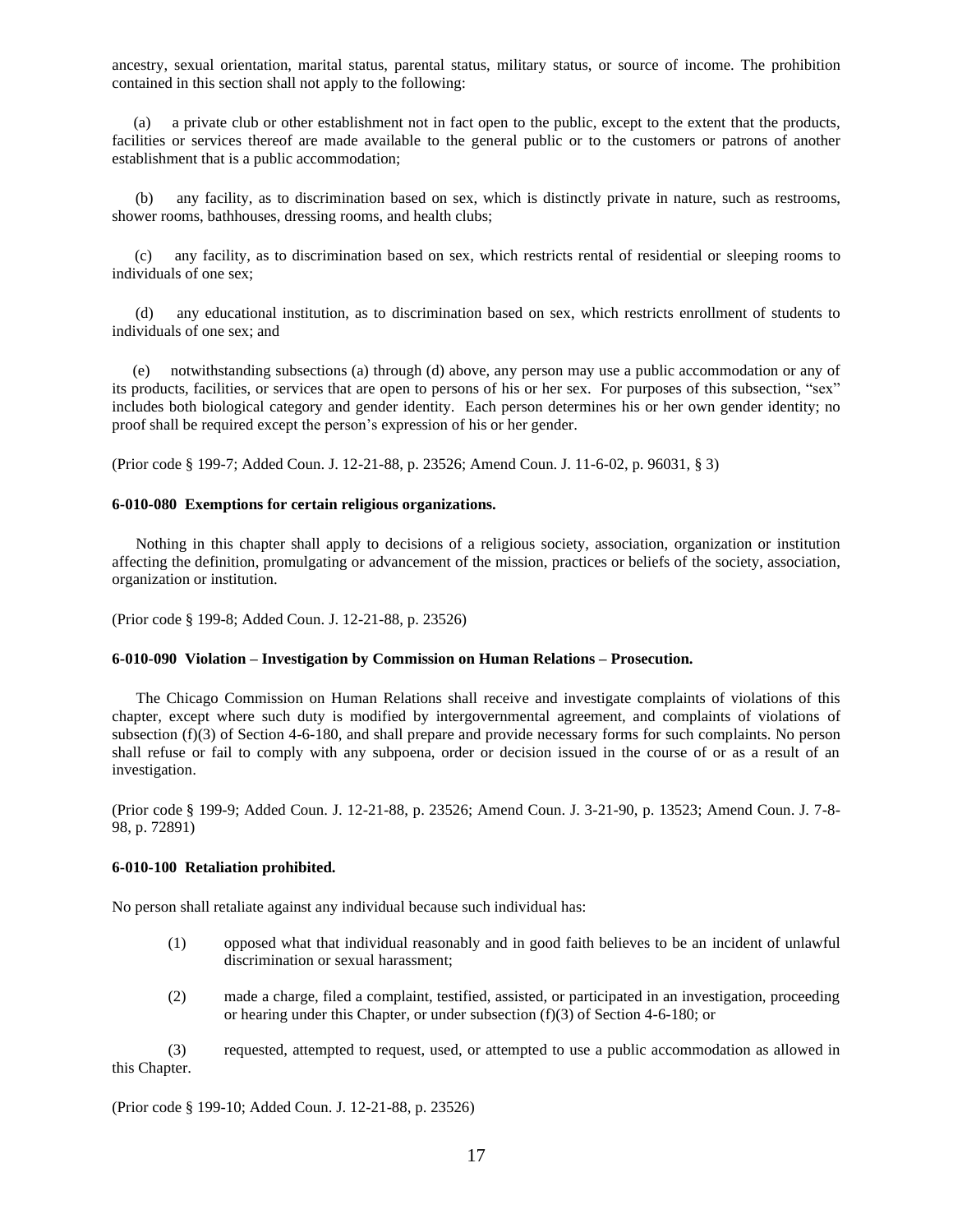ancestry, sexual orientation, marital status, parental status, military status, or source of income. The prohibition contained in this section shall not apply to the following:

(a) a private club or other establishment not in fact open to the public, except to the extent that the products, facilities or services thereof are made available to the general public or to the customers or patrons of another establishment that is a public accommodation;

(b) any facility, as to discrimination based on sex, which is distinctly private in nature, such as restrooms, shower rooms, bathhouses, dressing rooms, and health clubs;

(c) any facility, as to discrimination based on sex, which restricts rental of residential or sleeping rooms to individuals of one sex;

(d) any educational institution, as to discrimination based on sex, which restricts enrollment of students to individuals of one sex; and

(e) notwithstanding subsections (a) through (d) above, any person may use a public accommodation or any of its products, facilities, or services that are open to persons of his or her sex. For purposes of this subsection, "sex" includes both biological category and gender identity. Each person determines his or her own gender identity; no proof shall be required except the person's expression of his or her gender.

(Prior code § 199-7; Added Coun. J. 12-21-88, p. 23526; Amend Coun. J. 11-6-02, p. 96031, § 3)

#### **6-010-080 Exemptions for certain religious organizations.**

Nothing in this chapter shall apply to decisions of a religious society, association, organization or institution affecting the definition, promulgating or advancement of the mission, practices or beliefs of the society, association, organization or institution.

(Prior code § 199-8; Added Coun. J. 12-21-88, p. 23526)

#### **6-010-090 Violation – Investigation by Commission on Human Relations – Prosecution.**

The Chicago Commission on Human Relations shall receive and investigate complaints of violations of this chapter, except where such duty is modified by intergovernmental agreement, and complaints of violations of subsection (f)(3) of Section 4-6-180, and shall prepare and provide necessary forms for such complaints. No person shall refuse or fail to comply with any subpoena, order or decision issued in the course of or as a result of an investigation.

(Prior code § 199-9; Added Coun. J. 12-21-88, p. 23526; Amend Coun. J. 3-21-90, p. 13523; Amend Coun. J. 7-8- 98, p. 72891)

#### **6-010-100 Retaliation prohibited.**

No person shall retaliate against any individual because such individual has:

- (1) opposed what that individual reasonably and in good faith believes to be an incident of unlawful discrimination or sexual harassment;
- (2) made a charge, filed a complaint, testified, assisted, or participated in an investigation, proceeding or hearing under this Chapter, or under subsection (f)(3) of Section 4-6-180; or

(3) requested, attempted to request, used, or attempted to use a public accommodation as allowed in this Chapter.

(Prior code § 199-10; Added Coun. J. 12-21-88, p. 23526)